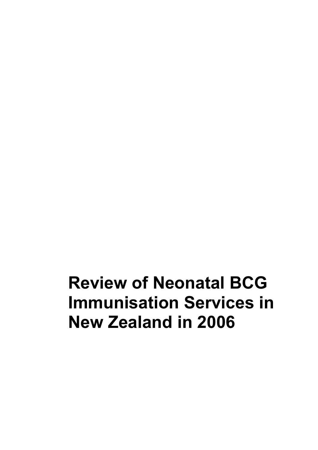**Review of Neonatal BCG Immunisation Services in New Zealand in 2006**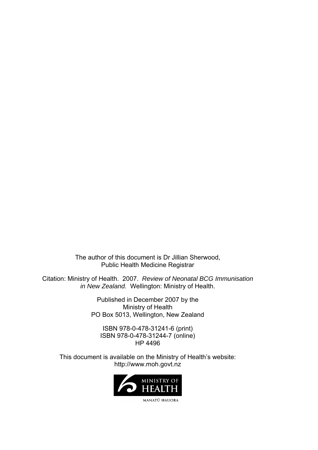The author of this document is Dr Jillian Sherwood, Public Health Medicine Registrar

Citation: Ministry of Health. 2007. *Review of Neonatal BCG Immunisation in New Zealand*. Wellington: Ministry of Health.

> Published in December 2007 by the Ministry of Health PO Box 5013, Wellington, New Zealand

ISBN 978-0-478-31241-6 (print) ISBN 978-0-478-31244-7 (online) HP 4496

This document is available on the Ministry of Health's website: http://www.moh.govt.nz

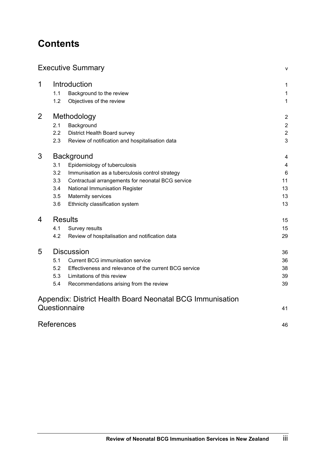# **Contents**

# [Executive Summary](#page-4-0) [v](#page-4-0)ersion of the state of the state of the state of the state of the state of the state of the state of the state of the state of the state of the state of the state of the state of the state of the state o 1 [Introduction](#page-8-0) [1](#page-8-0) and 1 and 1 and 1 and 1 and 1 and 1 and 1 and 1 and 1 and 1 and 1 and 1 and 1 and 1 and 1 and 1 and 1 and 1 and 1 and 1 and 1 and 1 and 1 and 1 and 1 and 1 and 1 and 1 and 1 and 1 and 1 and 1 and 1 and 1 a [1.1](#page-8-0) [Background to the review 1](#page-8-0) [1.2](#page-8-0) [Objectives of the review 1](#page-8-0) 2 [Methodology](#page-9-0) [2](#page-9-0) [2.1](#page-9-0) [Background 2](#page-9-0) [2.2](#page-9-0) [District Health Board survey 2](#page-9-0)2 [2.3](#page-10-0) [Review of notification and hospitalisation data 3](#page-10-0) 3 [Background](#page-11-0) [4](#page-11-0) [3.1](#page-11-0) [Epidemiology of tuberculosis 4](#page-11-0) [3.2](#page-13-0) [Immunisation as a tuberculosis control strategy 6](#page-13-0) [3.3](#page-18-0) [Contractual arrangements for neonatal BCG service 11](#page-18-0) 11 [3.4](#page-20-0) [National Immunisation Register 13](#page-20-0) [3.5](#page-20-0) Maternity services **13** [3.6](#page-20-0) [Ethnicity classification system 13](#page-20-0) **4** [Results](#page-22-0) [15](#page-22-0) [4.1](#page-22-0) [Survey results 15](#page-22-0) [4.2](#page-36-0) [Review of hospitalisation and notification data 29](#page-36-0) 5 [Discussion](#page-43-0) [36](#page-43-0) [5.1](#page-43-0) [Current BCG immunisation service 36](#page-43-0) [5.2](#page-45-0) [Effectiveness and relevance of the current BCG service 38](#page-45-0) [5.3](#page-46-0) [Limitations of this review 39](#page-46-0) [5.4](#page-46-0) [Recommendations arising from the review 39](#page-46-0) [Appendix: District Health Board Neonatal BCG Immunisation](#page-48-0)  [Questionnaire](#page-48-0) [41](#page-48-0) [References](#page-53-0) [46](#page-53-0)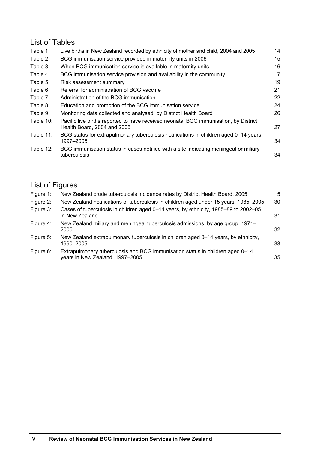# List of Tables

| Table 1:     | Live births in New Zealand recorded by ethnicity of mother and child, 2004 and 2005                                 | 14 |
|--------------|---------------------------------------------------------------------------------------------------------------------|----|
| Table 2:     | BCG immunisation service provided in maternity units in 2006                                                        | 15 |
| Table 3:     | When BCG immunisation service is available in maternity units                                                       | 16 |
| Table 4:     | BCG immunisation service provision and availability in the community                                                | 17 |
| Table 5:     | Risk assessment summary                                                                                             | 19 |
| Table 6:     | Referral for administration of BCG vaccine                                                                          | 21 |
| Table 7:     | Administration of the BCG immunisation                                                                              | 22 |
| Table 8:     | Education and promotion of the BCG immunisation service                                                             | 24 |
| Table 9:     | Monitoring data collected and analysed, by District Health Board                                                    | 26 |
| Table 10:    | Pacific live births reported to have received neonatal BCG immunisation, by District<br>Health Board, 2004 and 2005 | 27 |
| Table 11:    | BCG status for extrapulmonary tuberculosis notifications in children aged 0–14 years,<br>1997-2005                  | 34 |
| Table $12$ : | BCG immunisation status in cases notified with a site indicating meningeal or miliary<br>tuberculosis               | 34 |

# List of Figures

| Figure 1: | New Zealand crude tuberculosis incidence rates by District Health Board, 2005                                    | 5  |
|-----------|------------------------------------------------------------------------------------------------------------------|----|
| Figure 2: | New Zealand notifications of tuberculosis in children aged under 15 years, 1985–2005                             | 30 |
| Figure 3: | Cases of tuberculosis in children aged 0-14 years, by ethnicity, 1985-89 to 2002-05<br>in New Zealand            | 31 |
| Figure 4: | New Zealand miliary and meningeal tuberculosis admissions, by age group, 1971–<br>2005                           | 32 |
| Figure 5: | New Zealand extrapulmonary tuberculosis in children aged 0–14 years, by ethnicity,<br>1990–2005                  | 33 |
| Figure 6: | Extrapulmonary tuberculosis and BCG immunisation status in children aged 0-14<br>years in New Zealand, 1997-2005 | 35 |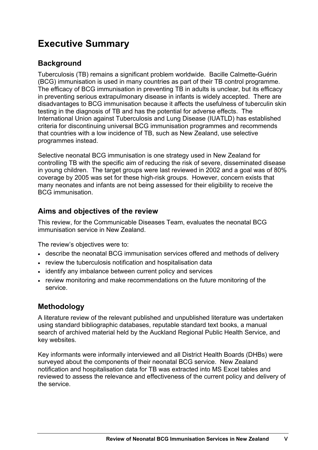# <span id="page-4-0"></span>**Executive Summary**

# **Background**

Tuberculosis (TB) remains a significant problem worldwide. Bacille Calmette-Guérin (BCG) immunisation is used in many countries as part of their TB control programme. The efficacy of BCG immunisation in preventing TB in adults is unclear, but its efficacy in preventing serious extrapulmonary disease in infants is widely accepted. There are disadvantages to BCG immunisation because it affects the usefulness of tuberculin skin testing in the diagnosis of TB and has the potential for adverse effects. The International Union against Tuberculosis and Lung Disease (IUATLD) has established criteria for discontinuing universal BCG immunisation programmes and recommends that countries with a low incidence of TB, such as New Zealand, use selective programmes instead.

Selective neonatal BCG immunisation is one strategy used in New Zealand for controlling TB with the specific aim of reducing the risk of severe, disseminated disease in young children. The target groups were last reviewed in 2002 and a goal was of 80% coverage by 2005 was set for these high-risk groups. However, concern exists that many neonates and infants are not being assessed for their eligibility to receive the BCG immunisation.

# **Aims and objectives of the review**

This review, for the Communicable Diseases Team, evaluates the neonatal BCG immunisation service in New Zealand.

The review's objectives were to:

- describe the neonatal BCG immunisation services offered and methods of delivery
- review the tuberculosis notification and hospitalisation data
- identify any imbalance between current policy and services
- review monitoring and make recommendations on the future monitoring of the service.

# **Methodology**

A literature review of the relevant published and unpublished literature was undertaken using standard bibliographic databases, reputable standard text books, a manual search of archived material held by the Auckland Regional Public Health Service, and key websites.

Key informants were informally interviewed and all District Health Boards (DHBs) were surveyed about the components of their neonatal BCG service. New Zealand notification and hospitalisation data for TB was extracted into MS Excel tables and reviewed to assess the relevance and effectiveness of the current policy and delivery of the service.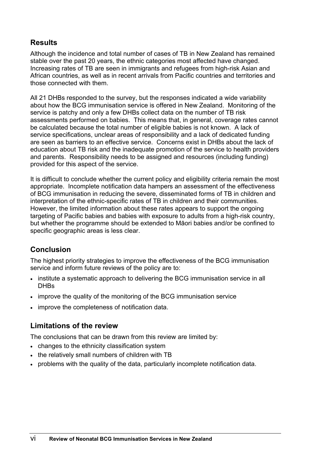# **Results**

Although the incidence and total number of cases of TB in New Zealand has remained stable over the past 20 years, the ethnic categories most affected have changed. Increasing rates of TB are seen in immigrants and refugees from high-risk Asian and African countries, as well as in recent arrivals from Pacific countries and territories and those connected with them.

All 21 DHBs responded to the survey, but the responses indicated a wide variability about how the BCG immunisation service is offered in New Zealand. Monitoring of the service is patchy and only a few DHBs collect data on the number of TB risk assessments performed on babies. This means that, in general, coverage rates cannot be calculated because the total number of eligible babies is not known. A lack of service specifications, unclear areas of responsibility and a lack of dedicated funding are seen as barriers to an effective service. Concerns exist in DHBs about the lack of education about TB risk and the inadequate promotion of the service to health providers and parents. Responsibility needs to be assigned and resources (including funding) provided for this aspect of the service.

It is difficult to conclude whether the current policy and eligibility criteria remain the most appropriate. Incomplete notification data hampers an assessment of the effectiveness of BCG immunisation in reducing the severe, disseminated forms of TB in children and interpretation of the ethnic-specific rates of TB in children and their communities. However, the limited information about these rates appears to support the ongoing targeting of Pacific babies and babies with exposure to adults from a high-risk country, but whether the programme should be extended to Māori babies and/or be confined to specific geographic areas is less clear.

# **Conclusion**

The highest priority strategies to improve the effectiveness of the BCG immunisation service and inform future reviews of the policy are to:

- institute a systematic approach to delivering the BCG immunisation service in all **DHBs**
- improve the quality of the monitoring of the BCG immunisation service
- improve the completeness of notification data.

# **Limitations of the review**

The conclusions that can be drawn from this review are limited by:

- changes to the ethnicity classification system
- the relatively small numbers of children with TB
- problems with the quality of the data, particularly incomplete notification data.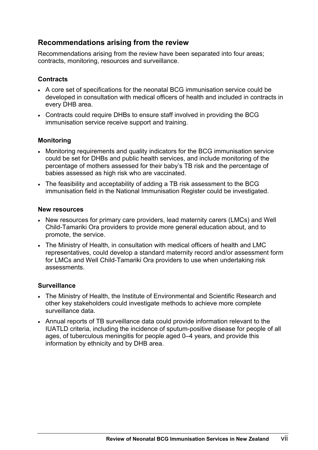# **Recommendations arising from the review**

Recommendations arising from the review have been separated into four areas; contracts, monitoring, resources and surveillance.

## **Contracts**

- A core set of specifications for the neonatal BCG immunisation service could be developed in consultation with medical officers of health and included in contracts in every DHB area.
- Contracts could require DHBs to ensure staff involved in providing the BCG immunisation service receive support and training.

## **Monitoring**

- Monitoring requirements and quality indicators for the BCG immunisation service could be set for DHBs and public health services, and include monitoring of the percentage of mothers assessed for their baby's TB risk and the percentage of babies assessed as high risk who are vaccinated.
- The feasibility and acceptability of adding a TB risk assessment to the BCG immunisation field in the National Immunisation Register could be investigated.

#### **New resources**

- New resources for primary care providers, lead maternity carers (LMCs) and Well Child-Tamariki Ora providers to provide more general education about, and to promote, the service.
- The Ministry of Health, in consultation with medical officers of health and LMC representatives, could develop a standard maternity record and/or assessment form for LMCs and Well Child-Tamariki Ora providers to use when undertaking risk assessments.

## **Surveillance**

- The Ministry of Health, the Institute of Environmental and Scientific Research and other key stakeholders could investigate methods to achieve more complete surveillance data.
- Annual reports of TB surveillance data could provide information relevant to the IUATLD criteria, including the incidence of sputum-positive disease for people of all ages, of tuberculous meningitis for people aged 0–4 years, and provide this information by ethnicity and by DHB area.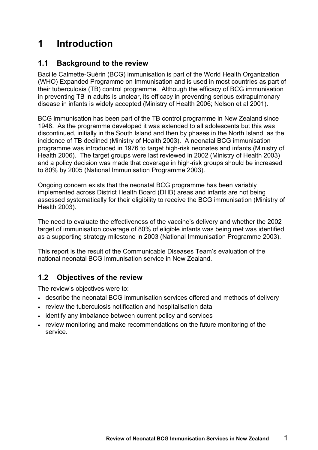# <span id="page-8-0"></span>**1 Introduction**

# **1.1 Background to the review**

Bacille Calmette-Guérin (BCG) immunisation is part of the World Health Organization (WHO) Expanded Programme on Immunisation and is used in most countries as part of their tuberculosis (TB) control programme. Although the efficacy of BCG immunisation in preventing TB in adults is unclear, its efficacy in preventing serious extrapulmonary disease in infants is widely accepted (Ministry of Health 2006; Nelson et al 2001).

BCG immunisation has been part of the TB control programme in New Zealand since 1948. As the programme developed it was extended to all adolescents but this was discontinued, initially in the South Island and then by phases in the North Island, as the incidence of TB declined (Ministry of Health 2003). A neonatal BCG immunisation programme was introduced in 1976 to target high-risk neonates and infants (Ministry of Health 2006). The target groups were last reviewed in 2002 (Ministry of Health 2003) and a policy decision was made that coverage in high-risk groups should be increased to 80% by 2005 (National Immunisation Programme 2003).

Ongoing concern exists that the neonatal BCG programme has been variably implemented across District Health Board (DHB) areas and infants are not being assessed systematically for their eligibility to receive the BCG immunisation (Ministry of Health 2003).

The need to evaluate the effectiveness of the vaccine's delivery and whether the 2002 target of immunisation coverage of 80% of eligible infants was being met was identified as a supporting strategy milestone in 2003 (National Immunisation Programme 2003).

This report is the result of the Communicable Diseases Team's evaluation of the national neonatal BCG immunisation service in New Zealand.

# **1.2 Objectives of the review**

The review's objectives were to:

- describe the neonatal BCG immunisation services offered and methods of delivery
- review the tuberculosis notification and hospitalisation data
- identify any imbalance between current policy and services
- review monitoring and make recommendations on the future monitoring of the service.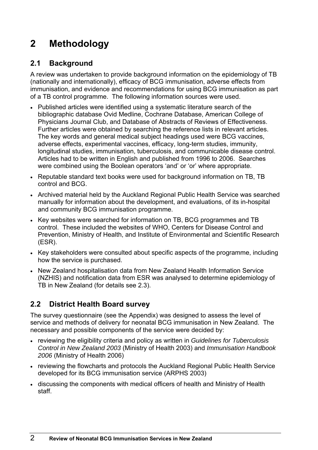# <span id="page-9-0"></span>**2 Methodology**

# **2.1 Background**

A review was undertaken to provide background information on the epidemiology of TB (nationally and internationally), efficacy of BCG immunisation, adverse effects from immunisation, and evidence and recommendations for using BCG immunisation as part of a TB control programme. The following information sources were used.

- Published articles were identified using a systematic literature search of the bibliographic database Ovid Medline, Cochrane Database, American College of Physicians Journal Club, and Database of Abstracts of Reviews of Effectiveness. Further articles were obtained by searching the reference lists in relevant articles. The key words and general medical subject headings used were BCG vaccines, adverse effects, experimental vaccines, efficacy, long-term studies, immunity, longitudinal studies, immunisation, tuberculosis, and communicable disease control. Articles had to be written in English and published from 1996 to 2006. Searches were combined using the Boolean operators 'and' or 'or' where appropriate.
- Reputable standard text books were used for background information on TB, TB control and BCG.
- Archived material held by the Auckland Regional Public Health Service was searched manually for information about the development, and evaluations, of its in-hospital and community BCG immunisation programme.
- Key websites were searched for information on TB, BCG programmes and TB control. These included the websites of WHO, Centers for Disease Control and Prevention, Ministry of Health, and Institute of Environmental and Scientific Research (ESR).
- Key stakeholders were consulted about specific aspects of the programme, including how the service is purchased.
- New Zealand hospitalisation data from New Zealand Health Information Service (NZHIS) and notification data from ESR was analysed to determine epidemiology of TB in New Zealand (for details see 2.3).

# **2.2 District Health Board survey**

The survey questionnaire (see the Appendix) was designed to assess the level of service and methods of delivery for neonatal BCG immunisation in New Zealand. The necessary and possible components of the service were decided by:

- reviewing the eligibility criteria and policy as written in *Guidelines for Tuberculosis Control in New Zealand 2003* (Ministry of Health 2003) and *Immunisation Handbook 2006* (Ministry of Health 2006)
- reviewing the flowcharts and protocols the Auckland Regional Public Health Service developed for its BCG immunisation service (ARPHS 2003)
- discussing the components with medical officers of health and Ministry of Health staff.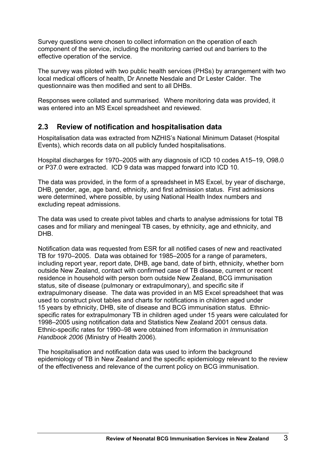<span id="page-10-0"></span>Survey questions were chosen to collect information on the operation of each component of the service, including the monitoring carried out and barriers to the effective operation of the service.

The survey was piloted with two public health services (PHSs) by arrangement with two local medical officers of health, Dr Annette Nesdale and Dr Lester Calder. The questionnaire was then modified and sent to all DHBs.

Responses were collated and summarised. Where monitoring data was provided, it was entered into an MS Excel spreadsheet and reviewed.

# **2.3 Review of notification and hospitalisation data**

Hospitalisation data was extracted from NZHIS's National Minimum Dataset (Hospital Events), which records data on all publicly funded hospitalisations.

Hospital discharges for 1970–2005 with any diagnosis of ICD 10 codes A15–19, O98.0 or P37.0 were extracted. ICD 9 data was mapped forward into ICD 10.

The data was provided, in the form of a spreadsheet in MS Excel, by year of discharge, DHB, gender, age, age band, ethnicity, and first admission status. First admissions were determined, where possible, by using National Health Index numbers and excluding repeat admissions.

The data was used to create pivot tables and charts to analyse admissions for total TB cases and for miliary and meningeal TB cases, by ethnicity, age and ethnicity, and DHB.

Notification data was requested from ESR for all notified cases of new and reactivated TB for 1970–2005. Data was obtained for 1985–2005 for a range of parameters, including report year, report date, DHB, age band, date of birth, ethnicity, whether born outside New Zealand, contact with confirmed case of TB disease, current or recent residence in household with person born outside New Zealand, BCG immunisation status, site of disease (pulmonary or extrapulmonary), and specific site if extrapulmonary disease. The data was provided in an MS Excel spreadsheet that was used to construct pivot tables and charts for notifications in children aged under 15 years by ethnicity, DHB, site of disease and BCG immunisation status. Ethnicspecific rates for extrapulmonary TB in children aged under 15 years were calculated for 1998–2005 using notification data and Statistics New Zealand 2001 census data. Ethnic-specific rates for 1990–98 were obtained from information in *Immunisation Handbook 2006* (Ministry of Health 2006).

The hospitalisation and notification data was used to inform the background epidemiology of TB in New Zealand and the specific epidemiology relevant to the review of the effectiveness and relevance of the current policy on BCG immunisation.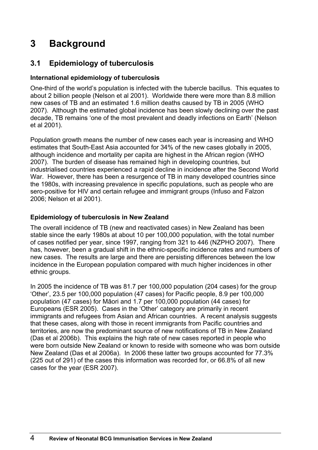# <span id="page-11-0"></span>**3 Background**

# **3.1 Epidemiology of tuberculosis**

# **International epidemiology of tuberculosis**

One-third of the world's population is infected with the tubercle bacillus. This equates to about 2 billion people (Nelson et al 2001). Worldwide there were more than 8.8 million new cases of TB and an estimated 1.6 million deaths caused by TB in 2005 (WHO 2007). Although the estimated global incidence has been slowly declining over the past decade, TB remains 'one of the most prevalent and deadly infections on Earth' (Nelson et al 2001).

Population growth means the number of new cases each year is increasing and WHO estimates that South-East Asia accounted for 34% of the new cases globally in 2005, although incidence and mortality per capita are highest in the African region (WHO 2007). The burden of disease has remained high in developing countries, but industrialised countries experienced a rapid decline in incidence after the Second World War. However, there has been a resurgence of TB in many developed countries since the 1980s, with increasing prevalence in specific populations, such as people who are sero-positive for HIV and certain refugee and immigrant groups (Infuso and Falzon 2006; Nelson et al 2001).

# **Epidemiology of tuberculosis in New Zealand**

The overall incidence of TB (new and reactivated cases) in New Zealand has been stable since the early 1980s at about 10 per 100,000 population, with the total number of cases notified per year, since 1997, ranging from 321 to 446 (NZPHO 2007). There has, however, been a gradual shift in the ethnic-specific incidence rates and numbers of new cases. The results are large and there are persisting differences between the low incidence in the European population compared with much higher incidences in other ethnic groups.

In 2005 the incidence of TB was 81.7 per 100,000 population (204 cases) for the group 'Other', 23.5 per 100,000 population (47 cases) for Pacific people, 8.9 per 100,000 population (47 cases) for Māori and 1.7 per 100,000 population (44 cases) for Europeans (ESR 2005). Cases in the 'Other' category are primarily in recent immigrants and refugees from Asian and African countries. A recent analysis suggests that these cases, along with those in recent immigrants from Pacific countries and territories, are now the predominant source of new notifications of TB in New Zealand (Das et al 2006b). This explains the high rate of new cases reported in people who were born outside New Zealand or known to reside with someone who was born outside New Zealand (Das et al 2006a). In 2006 these latter two groups accounted for 77.3% (225 out of 291) of the cases this information was recorded for, or 66.8% of all new cases for the year (ESR 2007).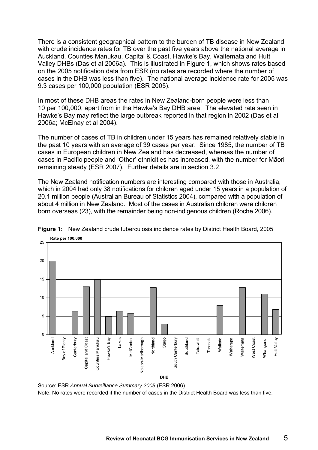<span id="page-12-0"></span>There is a consistent geographical pattern to the burden of TB disease in New Zealand with crude incidence rates for TB over the past five years above the national average in Auckland, Counties Manukau, Capital & Coast, Hawke's Bay, Waitemata and Hutt Valley DHBs (Das et al 2006a). This is illustrated in Figure 1, which shows rates based on the 2005 notification data from ESR (no rates are recorded where the number of cases in the DHB was less than five). The national average incidence rate for 2005 was 9.3 cases per 100,000 population (ESR 2005).

In most of these DHB areas the rates in New Zealand-born people were less than 10 per 100,000, apart from in the Hawke's Bay DHB area. The elevated rate seen in Hawke's Bay may reflect the large outbreak reported in that region in 2002 (Das et al 2006a; McElnay et al 2004).

The number of cases of TB in children under 15 years has remained relatively stable in the past 10 years with an average of 39 cases per year. Since 1985, the number of TB cases in European children in New Zealand has decreased, whereas the number of cases in Pacific people and 'Other' ethnicities has increased, with the number for Māori remaining steady (ESR 2007). Further details are in section 3.2.

The New Zealand notification numbers are interesting compared with those in Australia, which in 2004 had only 38 notifications for children aged under 15 years in a population of 20.1 million people (Australian Bureau of Statistics 2004), compared with a population of about 4 million in New Zealand. Most of the cases in Australian children were children born overseas (23), with the remainder being non-indigenous children (Roche 2006).



**Figure 1:** New Zealand crude tuberculosis incidence rates by District Health Board, 2005

Source: ESR *Annual Surveillance Summary 2005* (ESR 2006) Note: No rates were recorded if the number of cases in the District Health Board was less than five.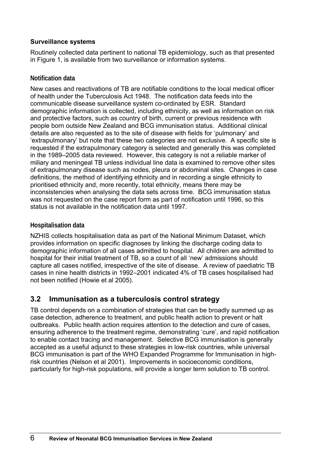## <span id="page-13-0"></span>**Surveillance systems**

Routinely collected data pertinent to national TB epidemiology, such as that presented in Figure 1, is available from two surveillance or information systems.

## **Notification data**

New cases and reactivations of TB are notifiable conditions to the local medical officer of health under the Tuberculosis Act 1948. The notification data feeds into the communicable disease surveillance system co-ordinated by ESR. Standard demographic information is collected, including ethnicity, as well as information on risk and protective factors, such as country of birth, current or previous residence with people born outside New Zealand and BCG immunisation status. Additional clinical details are also requested as to the site of disease with fields for 'pulmonary' and 'extrapulmonary' but note that these two categories are not exclusive. A specific site is requested if the extrapulmonary category is selected and generally this was completed in the 1989–2005 data reviewed. However, this category is not a reliable marker of miliary and meningeal TB unless individual line data is examined to remove other sites of extrapulmonary disease such as nodes, pleura or abdominal sites. Changes in case definitions, the method of identifying ethnicity and in recording a single ethnicity to prioritised ethnicity and, more recently, total ethnicity, means there may be inconsistencies when analysing the data sets across time. BCG immunisation status was not requested on the case report form as part of notification until 1996, so this status is not available in the notification data until 1997.

## **Hospitalisation data**

NZHIS collects hospitalisation data as part of the National Minimum Dataset, which provides information on specific diagnoses by linking the discharge coding data to demographic information of all cases admitted to hospital. All children are admitted to hospital for their initial treatment of TB, so a count of all 'new' admissions should capture all cases notified, irrespective of the site of disease. A review of paediatric TB cases in nine health districts in 1992–2001 indicated 4% of TB cases hospitalised had not been notified (Howie et al 2005).

# **3.2 Immunisation as a tuberculosis control strategy**

TB control depends on a combination of strategies that can be broadly summed up as case detection, adherence to treatment, and public health action to prevent or halt outbreaks. Public health action requires attention to the detection and cure of cases, ensuring adherence to the treatment regime, demonstrating 'cure', and rapid notification to enable contact tracing and management. Selective BCG immunisation is generally accepted as a useful adjunct to these strategies in low-risk countries, while universal BCG immunisation is part of the WHO Expanded Programme for Immunisation in highrisk countries (Nelson et al 2001). Improvements in socioeconomic conditions, particularly for high-risk populations, will provide a longer term solution to TB control.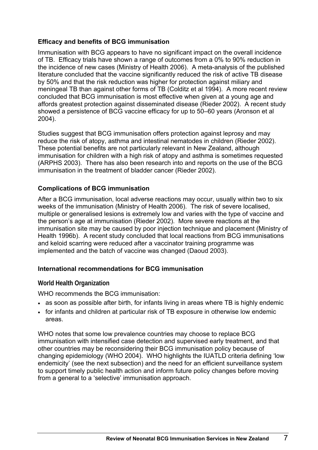## **Efficacy and benefits of BCG immunisation**

Immunisation with BCG appears to have no significant impact on the overall incidence of TB. Efficacy trials have shown a range of outcomes from a 0% to 90% reduction in the incidence of new cases (Ministry of Health 2006). A meta-analysis of the published literature concluded that the vaccine significantly reduced the risk of active TB disease by 50% and that the risk reduction was higher for protection against miliary and meningeal TB than against other forms of TB (Colditz et al 1994). A more recent review concluded that BCG immunisation is most effective when given at a young age and affords greatest protection against disseminated disease (Rieder 2002). A recent study showed a persistence of BCG vaccine efficacy for up to 50–60 years (Aronson et al 2004).

Studies suggest that BCG immunisation offers protection against leprosy and may reduce the risk of atopy, asthma and intestinal nematodes in children (Rieder 2002). These potential benefits are not particularly relevant in New Zealand, although immunisation for children with a high risk of atopy and asthma is sometimes requested (ARPHS 2003). There has also been research into and reports on the use of the BCG immunisation in the treatment of bladder cancer (Rieder 2002).

## **Complications of BCG immunisation**

After a BCG immunisation, local adverse reactions may occur, usually within two to six weeks of the immunisation (Ministry of Health 2006). The risk of severe localised, multiple or generalised lesions is extremely low and varies with the type of vaccine and the person's age at immunisation (Rieder 2002). More severe reactions at the immunisation site may be caused by poor injection technique and placement (Ministry of Health 1996b). A recent study concluded that local reactions from BCG immunisations and keloid scarring were reduced after a vaccinator training programme was implemented and the batch of vaccine was changed (Daoud 2003).

#### **International recommendations for BCG immunisation**

#### **World Health Organization**

WHO recommends the BCG immunisation:

- as soon as possible after birth, for infants living in areas where TB is highly endemic
- for infants and children at particular risk of TB exposure in otherwise low endemic areas.

WHO notes that some low prevalence countries may choose to replace BCG immunisation with intensified case detection and supervised early treatment, and that other countries may be reconsidering their BCG immunisation policy because of changing epidemiology (WHO 2004). WHO highlights the IUATLD criteria defining 'low endemicity' (see the next subsection) and the need for an efficient surveillance system to support timely public health action and inform future policy changes before moving from a general to a 'selective' immunisation approach.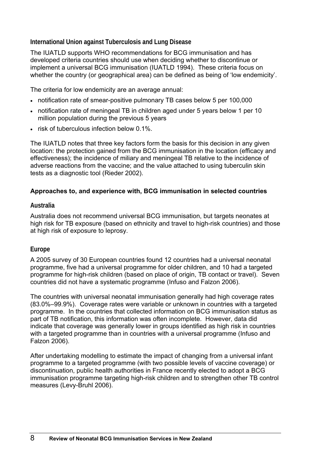**International Union against Tuberculosis and Lung Disease** 

The IUATLD supports WHO recommendations for BCG immunisation and has developed criteria countries should use when deciding whether to discontinue or implement a universal BCG immunisation (IUATLD 1994). These criteria focus on whether the country (or geographical area) can be defined as being of 'low endemicity'.

The criteria for low endemicity are an average annual:

- notification rate of smear-positive pulmonary TB cases below 5 per 100,000
- notification rate of meningeal TB in children aged under 5 years below 1 per 10 million population during the previous 5 years
- risk of tuberculous infection below 0.1%.

The IUATLD notes that three key factors form the basis for this decision in any given location: the protection gained from the BCG immunisation in the location (efficacy and effectiveness); the incidence of miliary and meningeal TB relative to the incidence of adverse reactions from the vaccine; and the value attached to using tuberculin skin tests as a diagnostic tool (Rieder 2002).

# **Approaches to, and experience with, BCG immunisation in selected countries**

# **Australia**

Australia does not recommend universal BCG immunisation, but targets neonates at high risk for TB exposure (based on ethnicity and travel to high-risk countries) and those at high risk of exposure to leprosy.

# **Europe**

A 2005 survey of 30 European countries found 12 countries had a universal neonatal programme, five had a universal programme for older children, and 10 had a targeted programme for high-risk children (based on place of origin, TB contact or travel). Seven countries did not have a systematic programme (Infuso and Falzon 2006).

The countries with universal neonatal immunisation generally had high coverage rates (83.0%–99.9%). Coverage rates were variable or unknown in countries with a targeted programme. In the countries that collected information on BCG immunisation status as part of TB notification, this information was often incomplete. However, data did indicate that coverage was generally lower in groups identified as high risk in countries with a targeted programme than in countries with a universal programme (Infuso and Falzon 2006).

After undertaking modelling to estimate the impact of changing from a universal infant programme to a targeted programme (with two possible levels of vaccine coverage) or discontinuation, public health authorities in France recently elected to adopt a BCG immunisation programme targeting high-risk children and to strengthen other TB control measures (Levy-Bruhl 2006).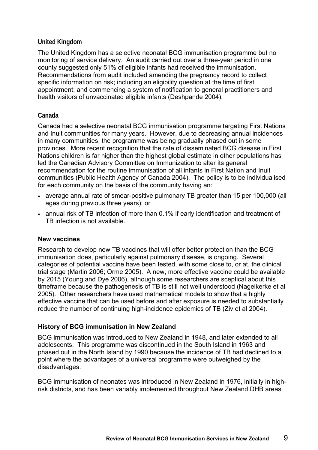## **United Kingdom**

The United Kingdom has a selective neonatal BCG immunisation programme but no monitoring of service delivery. An audit carried out over a three-year period in one county suggested only 51% of eligible infants had received the immunisation. Recommendations from audit included amending the pregnancy record to collect specific information on risk; including an eligibility question at the time of first appointment; and commencing a system of notification to general practitioners and health visitors of unvaccinated eligible infants (Deshpande 2004).

## **Canada**

Canada had a selective neonatal BCG immunisation programme targeting First Nations and Inuit communities for many years. However, due to decreasing annual incidences in many communities, the programme was being gradually phased out in some provinces. More recent recognition that the rate of disseminated BCG disease in First Nations children is far higher than the highest global estimate in other populations has led the Canadian Advisory Committee on Immunization to alter its general recommendation for the routine immunisation of all infants in First Nation and Inuit communities (Public Health Agency of Canada 2004). The policy is to be individualised for each community on the basis of the community having an:

- average annual rate of smear-positive pulmonary TB greater than 15 per 100,000 (all ages during previous three years); or
- annual risk of TB infection of more than 0.1% if early identification and treatment of TB infection is not available.

#### **New vaccines**

Research to develop new TB vaccines that will offer better protection than the BCG immunisation does, particularly against pulmonary disease, is ongoing. Several categories of potential vaccine have been tested, with some close to, or at, the clinical trial stage (Martin 2006; Orme 2005). A new, more effective vaccine could be available by 2015 (Young and Dye 2006), although some researchers are sceptical about this timeframe because the pathogenesis of TB is still not well understood (Nagelkerke et al 2005). Other researchers have used mathematical models to show that a highly effective vaccine that can be used before and after exposure is needed to substantially reduce the number of continuing high-incidence epidemics of TB (Ziv et al 2004).

#### **History of BCG immunisation in New Zealand**

BCG immunisation was introduced to New Zealand in 1948, and later extended to all adolescents. This programme was discontinued in the South Island in 1963 and phased out in the North Island by 1990 because the incidence of TB had declined to a point where the advantages of a universal programme were outweighed by the disadvantages.

BCG immunisation of neonates was introduced in New Zealand in 1976, initially in highrisk districts, and has been variably implemented throughout New Zealand DHB areas.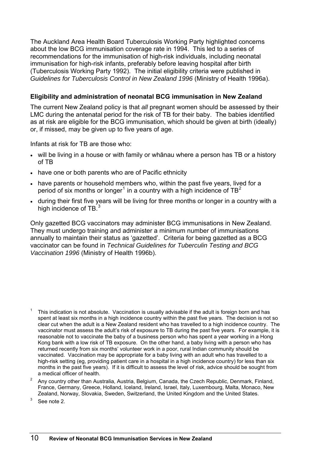<span id="page-17-0"></span>The Auckland Area Health Board Tuberculosis Working Party highlighted concerns about the low BCG immunisation coverage rate in 1994. This led to a series of recommendations for the immunisation of high-risk individuals, including neonatal immunisation for high-risk infants, preferably before leaving hospital after birth (Tuberculosis Working Party 1992). The initial eligibility criteria were published in *Guidelines for Tuberculosis Control in New Zealand 1996* (Ministry of Health 1996a).

## **Eligibility and administration of neonatal BCG immunisation in New Zealand**

The current New Zealand policy is that *all* pregnant women should be assessed by their LMC during the antenatal period for the risk of TB for their baby. The babies identified as at risk are eligible for the BCG immunisation, which should be given at birth (ideally) or, if missed, may be given up to five years of age.

Infants at risk for TB are those who:

- will be living in a house or with family or whanau where a person has TB or a history of TB
- have one or both parents who are of Pacific ethnicity
- have parents or household members who, within the past five years, lived for a period of six months or longer<sup>[1](#page-17-0)</sup> in a country with a high incidence of TB<sup>[2](#page-17-0)</sup>
- during their first five years will be living for three months or longer in a country with a high incidence of TB. $3$

Only gazetted BCG vaccinators may administer BCG immunisations in New Zealand. They must undergo training and administer a minimum number of immunisations annually to maintain their status as 'gazetted'. Criteria for being gazetted as a BCG vaccinator can be found in *Technical Guidelines for Tuberculin Testing and BCG Vaccination 1996* (Ministry of Health 1996b).

2 Any country other than Australia, Austria, Belgium, Canada, the Czech Republic, Denmark, Finland, France, Germany, Greece, Holland, Iceland, Ireland, Israel, Italy, Luxembourg, Malta, Monaco, New Zealand, Norway, Slovakia, Sweden, Switzerland, the United Kingdom and the United States.

3 See note 2.

<sup>1</sup> This indication is not absolute. Vaccination is usually advisable if the adult is foreign born and has spent at least six months in a high incidence country within the past five years. The decision is not so clear cut when the adult is a New Zealand resident who has travelled to a high incidence country. The vaccinator must assess the adult's risk of exposure to TB during the past five years. For example, it is reasonable not to vaccinate the baby of a business person who has spent a year working in a Hong Kong bank with a low risk of TB exposure. On the other hand, a baby living with a person who has returned recently from six months' volunteer work in a poor, rural Indian community should be vaccinated. Vaccination may be appropriate for a baby living with an adult who has travelled to a high-risk setting (eg, providing patient care in a hospital in a high incidence country) for less than six months in the past five years). If it is difficult to assess the level of risk, advice should be sought from a medical officer of health.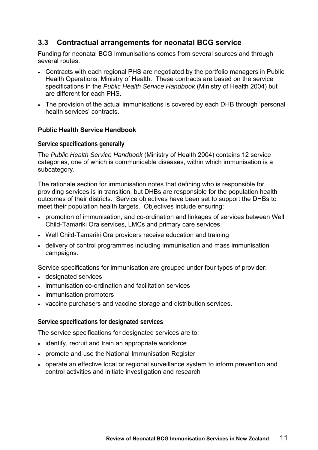# <span id="page-18-0"></span>**3.3 Contractual arrangements for neonatal BCG service**

Funding for neonatal BCG immunisations comes from several sources and through several routes.

- Contracts with each regional PHS are negotiated by the portfolio managers in Public Health Operations, Ministry of Health. These contracts are based on the service specifications in the *Public Health Service Handbook* (Ministry of Health 2004) but are different for each PHS.
- The provision of the actual immunisations is covered by each DHB through 'personal health services' contracts.

## **Public Health Service Handbook**

#### **Service specifications generally**

The *Public Health Service Handbook* (Ministry of Health 2004) contains 12 service categories, one of which is communicable diseases, within which immunisation is a subcategory.

The rationale section for immunisation notes that defining who is responsible for providing services is in transition, but DHBs are responsible for the population health outcomes of their districts. Service objectives have been set to support the DHBs to meet their population health targets. Objectives include ensuring:

- promotion of immunisation, and co-ordination and linkages of services between Well Child-Tamariki Ora services, LMCs and primary care services
- Well Child-Tamariki Ora providers receive education and training
- delivery of control programmes including immunisation and mass immunisation campaigns.

Service specifications for immunisation are grouped under four types of provider:

- designated services
- immunisation co-ordination and facilitation services
- immunisation promoters
- vaccine purchasers and vaccine storage and distribution services.

#### **Service specifications for designated services**

The service specifications for designated services are to:

- identify, recruit and train an appropriate workforce
- promote and use the National Immunisation Register
- operate an effective local or regional surveillance system to inform prevention and control activities and initiate investigation and research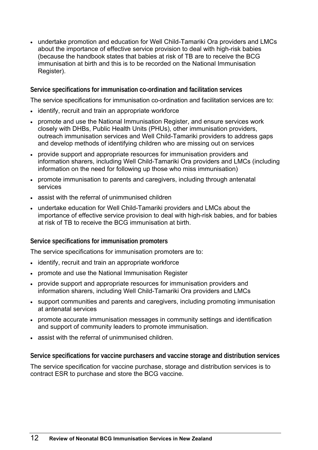• undertake promotion and education for Well Child-Tamariki Ora providers and LMCs about the importance of effective service provision to deal with high-risk babies (because the handbook states that babies at risk of TB are to receive the BCG immunisation at birth and this is to be recorded on the National Immunisation Register).

## **Service specifications for immunisation co-ordination and facilitation services**

The service specifications for immunisation co-ordination and facilitation services are to:

- identify, recruit and train an appropriate workforce
- promote and use the National Immunisation Register, and ensure services work closely with DHBs, Public Health Units (PHUs), other immunisation providers, outreach immunisation services and Well Child-Tamariki providers to address gaps and develop methods of identifying children who are missing out on services
- provide support and appropriate resources for immunisation providers and information sharers, including Well Child-Tamariki Ora providers and LMCs (including information on the need for following up those who miss immunisation)
- promote immunisation to parents and caregivers, including through antenatal services
- assist with the referral of unimmunised children
- undertake education for Well Child-Tamariki providers and LMCs about the importance of effective service provision to deal with high-risk babies, and for babies at risk of TB to receive the BCG immunisation at birth.

#### **Service specifications for immunisation promoters**

The service specifications for immunisation promoters are to:

- identify, recruit and train an appropriate workforce
- promote and use the National Immunisation Register
- provide support and appropriate resources for immunisation providers and information sharers, including Well Child-Tamariki Ora providers and LMCs
- support communities and parents and caregivers, including promoting immunisation at antenatal services
- promote accurate immunisation messages in community settings and identification and support of community leaders to promote immunisation.
- assist with the referral of unimmunised children.

**Service specifications for vaccine purchasers and vaccine storage and distribution services** 

The service specification for vaccine purchase, storage and distribution services is to contract ESR to purchase and store the BCG vaccine.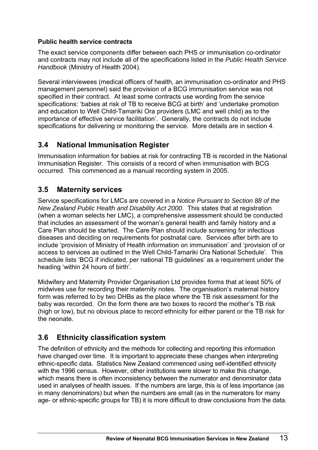## <span id="page-20-0"></span>**Public health service contracts**

The exact service components differ between each PHS or immunisation co-ordinator and contracts may not include all of the specifications listed in the *Public Health Service Handbook* (Ministry of Health 2004).

Several interviewees (medical officers of health, an immunisation co-ordinator and PHS management personnel) said the provision of a BCG immunisation service was not specified in their contract. At least some contracts use wording from the service specifications: 'babies at risk of TB to receive BCG at birth' and 'undertake promotion and education to Well Child-Tamariki Ora providers (LMC and well child) as to the importance of effective service facilitation'. Generally, the contracts do not include specifications for delivering or monitoring the service. More details are in section 4.

# **3.4 National Immunisation Register**

Immunisation information for babies at risk for contracting TB is recorded in the National Immunisation Register. This consists of a record of when immunisation with BCG occurred. This commenced as a manual recording system in 2005.

# **3.5 Maternity services**

Service specifications for LMCs are covered in a *Notice Pursuant to Section 88 of the New Zealand Public Health and Disability Act 2000*. This states that at registration (when a woman selects her LMC), a comprehensive assessment should be conducted that includes an assessment of the woman's general health and family history and a Care Plan should be started. The Care Plan should include screening for infectious diseases and deciding on requirements for postnatal care. Services after birth are to include 'provision of Ministry of Health information on immunisation' and 'provision of or access to services as outlined in the Well Child-Tamariki Ora National Schedule'. This schedule lists 'BCG if indicated, per national TB guidelines' as a requirement under the heading 'within 24 hours of birth'.

Midwifery and Maternity Provider Organisation Ltd provides forms that at least 50% of midwives use for recording their maternity notes. The organisation's maternal history form was referred to by two DHBs as the place where the TB risk assessment for the baby was recorded. On the form there are two boxes to record the mother's TB risk (high or low), but no obvious place to record ethnicity for either parent or the TB risk for the neonate.

# **3.6 Ethnicity classification system**

The definition of ethnicity and the methods for collecting and reporting this information have changed over time. It is important to appreciate these changes when interpreting ethnic-specific data. Statistics New Zealand commenced using self-identified ethnicity with the 1996 census. However, other institutions were slower to make this change, which means there is often inconsistency between the numerator and denominator data used in analyses of health issues. If the numbers are large, this is of less importance (as in many denominators) but when the numbers are small (as in the numerators for many age- or ethnic-specific groups for TB) it is more difficult to draw conclusions from the data.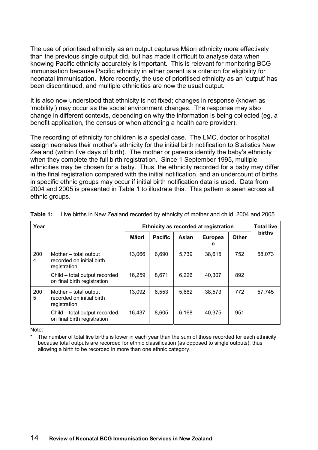<span id="page-21-0"></span>The use of prioritised ethnicity as an output captures Māori ethnicity more effectively than the previous single output did, but has made it difficult to analyse data when knowing Pacific ethnicity accurately is important. This is relevant for monitoring BCG immunisation because Pacific ethnicity in either parent is a criterion for eligibility for neonatal immunisation. More recently, the use of prioritised ethnicity as an 'output' has been discontinued, and multiple ethnicities are now the usual output.

It is also now understood that ethnicity is not fixed; changes in response (known as 'mobility') may occur as the social environment changes. The response may also change in different contexts, depending on why the information is being collected (eg, a benefit application, the census or when attending a health care provider).

The recording of ethnicity for children is a special case. The LMC, doctor or hospital assign neonates their mother's ethnicity for the initial birth notification to Statistics New Zealand (within five days of birth). The mother or parents identify the baby's ethnicity when they complete the full birth registration. Since 1 September 1995, multiple ethnicities may be chosen for a baby. Thus, the ethnicity recorded for a baby may differ in the final registration compared with the initial notification, and an undercount of births in specific ethnic groups may occur if initial birth notification data is used. Data from 2004 and 2005 is presented in Table 1 to illustrate this. This pattern is seen across all ethnic groups.

| Year     |                                                                    | <b>Total live</b><br>Ethnicity as recorded at registration |                |       |                     |              |               |  |
|----------|--------------------------------------------------------------------|------------------------------------------------------------|----------------|-------|---------------------|--------------|---------------|--|
|          |                                                                    | Māori                                                      | <b>Pacific</b> | Asian | <b>Europea</b><br>n | <b>Other</b> | <b>births</b> |  |
| 200<br>4 | Mother - total output<br>recorded on initial birth<br>registration | 13,066                                                     | 6.690          | 5,739 | 38,615              | 752          | 58,073        |  |
|          | Child - total output recorded<br>on final birth registration       | 16,259                                                     | 8,671          | 6,226 | 40,307              | 892          |               |  |
| 200<br>5 | Mother - total output<br>recorded on initial birth<br>registration | 13,092                                                     | 6,553          | 5,662 | 38,573              | 772          | 57.745        |  |
|          | Child - total output recorded<br>on final birth registration       | 16,437                                                     | 8.605          | 6,168 | 40.375              | 951          |               |  |

**Table 1:** Live births in New Zealand recorded by ethnicity of mother and child, 2004 and 2005

Note:

The number of total live births is lower in each year than the sum of those recorded for each ethnicity because total outputs are recorded for ethnic classification (as opposed to single outputs), thus allowing a birth to be recorded in more than one ethnic category.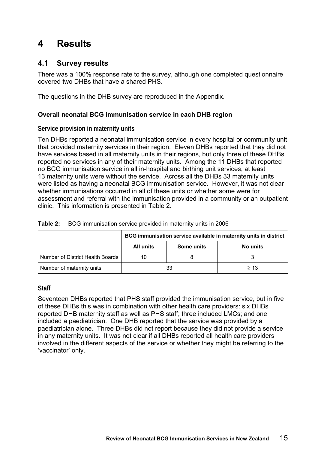# <span id="page-22-0"></span>**4 Results**

# **4.1 Survey results**

There was a 100% response rate to the survey, although one completed questionnaire covered two DHBs that have a shared PHS.

The questions in the DHB survey are reproduced in the Appendix.

# **Overall neonatal BCG immunisation service in each DHB region**

## **Service provision in maternity units**

Ten DHBs reported a neonatal immunisation service in every hospital or community unit that provided maternity services in their region. Eleven DHBs reported that they did not have services based in all maternity units in their regions, but only three of these DHBs reported no services in any of their maternity units. Among the 11 DHBs that reported no BCG immunisation service in all in-hospital and birthing unit services, at least 13 maternity units were without the service. Across all the DHBs 33 maternity units were listed as having a neonatal BCG immunisation service. However, it was not clear whether immunisations occurred in all of these units or whether some were for assessment and referral with the immunisation provided in a community or an outpatient clinic. This information is presented in Table 2.

|                                  | BCG immunisation service available in maternity units in district |            |           |  |
|----------------------------------|-------------------------------------------------------------------|------------|-----------|--|
|                                  | All units                                                         | Some units | No units  |  |
| Number of District Health Boards | 10                                                                |            |           |  |
| Number of maternity units        |                                                                   | 33         | $\geq 13$ |  |

#### **Table 2:** BCG immunisation service provided in maternity units in 2006

#### **Staff**

Seventeen DHBs reported that PHS staff provided the immunisation service, but in five of these DHBs this was in combination with other health care providers: six DHBs reported DHB maternity staff as well as PHS staff; three included LMCs; and one included a paediatrician. One DHB reported that the service was provided by a paediatrician alone. Three DHBs did not report because they did not provide a service in any maternity units. It was not clear if all DHBs reported all health care providers involved in the different aspects of the service or whether they might be referring to the 'vaccinator' only.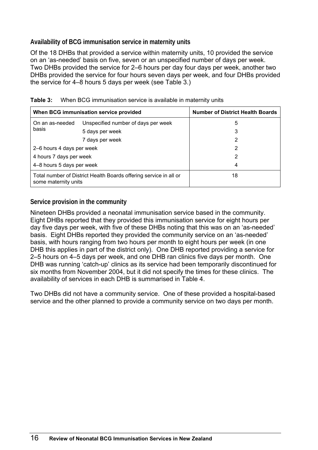## <span id="page-23-0"></span>**Availability of BCG immunisation service in maternity units**

Of the 18 DHBs that provided a service within maternity units, 10 provided the service on an 'as-needed' basis on five, seven or an unspecified number of days per week. Two DHBs provided the service for 2–6 hours per day four days per week, another two DHBs provided the service for four hours seven days per week, and four DHBs provided the service for 4–8 hours 5 days per week (see Table 3.)

|                                                                                           | When BCG immunisation service provided | <b>Number of District Health Boards</b> |
|-------------------------------------------------------------------------------------------|----------------------------------------|-----------------------------------------|
| On an as-needed                                                                           | Unspecified number of days per week    | 5                                       |
| basis                                                                                     | 5 days per week                        | 3                                       |
|                                                                                           | 7 days per week                        | 2                                       |
| 2–6 hours 4 days per week                                                                 |                                        | 2                                       |
| 4 hours 7 days per week                                                                   |                                        | 2                                       |
| 4-8 hours 5 days per week                                                                 |                                        | 4                                       |
| Total number of District Health Boards offering service in all or<br>some maternity units |                                        | 18                                      |

|  | <b>Table 3:</b> When BCG immunisation service is available in maternity units |  |  |
|--|-------------------------------------------------------------------------------|--|--|
|--|-------------------------------------------------------------------------------|--|--|

## **Service provision in the community**

Nineteen DHBs provided a neonatal immunisation service based in the community. Eight DHBs reported that they provided this immunisation service for eight hours per day five days per week, with five of these DHBs noting that this was on an 'as-needed' basis. Eight DHBs reported they provided the community service on an 'as-needed' basis, with hours ranging from two hours per month to eight hours per week (in one DHB this applies in part of the district only). One DHB reported providing a service for 2–5 hours on 4–5 days per week, and one DHB ran clinics five days per month. One DHB was running 'catch-up' clinics as its service had been temporarily discontinued for six months from November 2004, but it did not specify the times for these clinics. The availability of services in each DHB is summarised in Table 4.

Two DHBs did not have a community service. One of these provided a hospital-based service and the other planned to provide a community service on two days per month.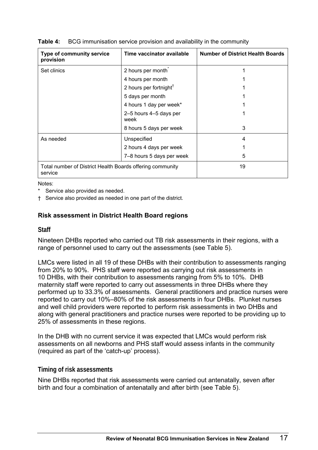| Type of community service<br>provision                               | Time vaccinator available          | <b>Number of District Health Boards</b> |
|----------------------------------------------------------------------|------------------------------------|-----------------------------------------|
| Set clinics                                                          | 2 hours per month                  |                                         |
|                                                                      | 4 hours per month                  |                                         |
|                                                                      | 2 hours per fortnight <sup>†</sup> |                                         |
|                                                                      | 5 days per month                   |                                         |
|                                                                      | 4 hours 1 day per week*            |                                         |
|                                                                      | 2-5 hours 4-5 days per<br>week     |                                         |
|                                                                      | 8 hours 5 days per week            | 3                                       |
| As needed                                                            | Unspecified                        | 4                                       |
|                                                                      | 2 hours 4 days per week            |                                         |
|                                                                      | 7-8 hours 5 days per week          | 5                                       |
| Total number of District Health Boards offering community<br>service |                                    | 19                                      |

#### <span id="page-24-0"></span>**Table 4:** BCG immunisation service provision and availability in the community

Notes:

- Service also provided as needed.
- † Service also provided as needed in one part of the district.

## **Risk assessment in District Health Board regions**

#### **Staff**

Nineteen DHBs reported who carried out TB risk assessments in their regions, with a range of personnel used to carry out the assessments (see Table 5).

LMCs were listed in all 19 of these DHBs with their contribution to assessments ranging from 20% to 90%. PHS staff were reported as carrying out risk assessments in 10 DHBs, with their contribution to assessments ranging from 5% to 10%. DHB maternity staff were reported to carry out assessments in three DHBs where they performed up to 33.3% of assessments. General practitioners and practice nurses were reported to carry out 10%–80% of the risk assessments in four DHBs. Plunket nurses and well child providers were reported to perform risk assessments in two DHBs and along with general practitioners and practice nurses were reported to be providing up to 25% of assessments in these regions.

In the DHB with no current service it was expected that LMCs would perform risk assessments on all newborns and PHS staff would assess infants in the community (required as part of the 'catch-up' process).

#### **Timing of risk assessments**

Nine DHBs reported that risk assessments were carried out antenatally, seven after birth and four a combination of antenatally and after birth (see Table 5).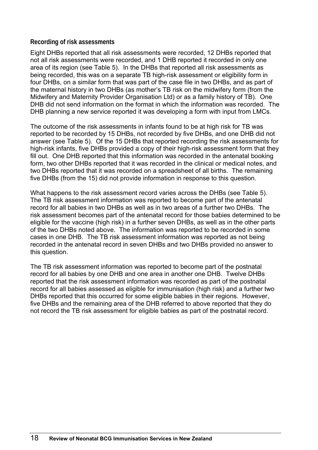## **Recording of risk assessments**

Eight DHBs reported that all risk assessments were recorded, 12 DHBs reported that not all risk assessments were recorded, and 1 DHB reported it recorded in only one area of its region (see Table 5). In the DHBs that reported all risk assessments as being recorded, this was on a separate TB high-risk assessment or eligibility form in four DHBs, on a similar form that was part of the case file in two DHBs, and as part of the maternal history in two DHBs (as mother's TB risk on the midwifery form (from the Midwifery and Maternity Provider Organisation Ltd) or as a family history of TB). One DHB did not send information on the format in which the information was recorded. The DHB planning a new service reported it was developing a form with input from LMCs.

The outcome of the risk assessments in infants found to be at high risk for TB was reported to be recorded by 15 DHBs, not recorded by five DHBs, and one DHB did not answer (see Table 5). Of the 15 DHBs that reported recording the risk assessments for high-risk infants, five DHBs provided a copy of their high-risk assessment form that they fill out. One DHB reported that this information was recorded in the antenatal booking form, two other DHBs reported that it was recorded in the clinical or medical notes, and two DHBs reported that it was recorded on a spreadsheet of all births. The remaining five DHBs (from the 15) did not provide information in response to this question.

What happens to the risk assessment record varies across the DHBs (see Table 5). The TB risk assessment information was reported to become part of the antenatal record for all babies in two DHBs as well as in two areas of a further two DHBs. The risk assessment becomes part of the antenatal record for those babies determined to be eligible for the vaccine (high risk) in a further seven DHBs, as well as in the other parts of the two DHBs noted above. The information was reported to be recorded in some cases in one DHB. The TB risk assessment information was reported as not being recorded in the antenatal record in seven DHBs and two DHBs provided no answer to this question.

The TB risk assessment information was reported to become part of the postnatal record for all babies by one DHB and one area in another one DHB. Twelve DHBs reported that the risk assessment information was recorded as part of the postnatal record for all babies assessed as eligible for immunisation (high risk) and a further two DHBs reported that this occurred for some eligible babies in their regions. However, five DHBs and the remaining area of the DHB referred to above reported that they do not record the TB risk assessment for eligible babies as part of the postnatal record.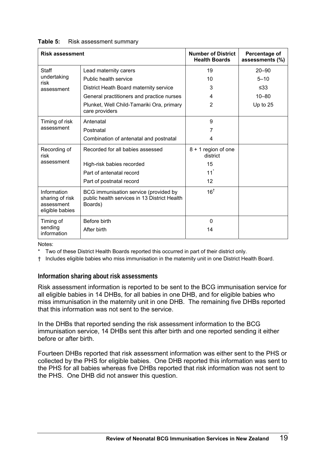| <b>Risk assessment</b>                                          |                                                                                                  | <b>Number of District</b><br><b>Health Boards</b> | Percentage of<br>assessments (%) |
|-----------------------------------------------------------------|--------------------------------------------------------------------------------------------------|---------------------------------------------------|----------------------------------|
| <b>Staff</b>                                                    | Lead maternity carers                                                                            | 19                                                | $20 - 90$                        |
| undertaking<br>risk                                             | Public health service                                                                            | 10                                                | $5 - 10$                         |
| assessment                                                      | District Heath Board maternity service                                                           | 3                                                 | $\leq 33$                        |
|                                                                 | General practitioners and practice nurses                                                        | 4                                                 | $10 - 80$                        |
|                                                                 | Plunket, Well Child-Tamariki Ora, primary<br>care providers                                      | $\overline{2}$                                    | Up to $25$                       |
| Timing of risk                                                  | Antenatal                                                                                        | 9                                                 |                                  |
| assessment                                                      | Postnatal                                                                                        | 7                                                 |                                  |
|                                                                 | Combination of antenatal and postnatal                                                           | 4                                                 |                                  |
| Recording of<br>risk                                            | Recorded for all babies assessed                                                                 | 8 + 1 region of one<br>district                   |                                  |
| assessment                                                      | High-risk babies recorded                                                                        | 15                                                |                                  |
|                                                                 | Part of antenatal record                                                                         | 11                                                |                                  |
|                                                                 | Part of postnatal record                                                                         | 12                                                |                                  |
| Information<br>sharing of risk<br>assessment<br>eligible babies | BCG immunisation service (provided by<br>public health services in 13 District Health<br>Boards) | $16^{\dagger}$                                    |                                  |
| Timing of                                                       | Before birth                                                                                     | $\Omega$                                          |                                  |
| sending<br>information                                          | After birth                                                                                      | 14                                                |                                  |

#### <span id="page-26-0"></span>Table 5: Risk assessment summary

Notes:

Two of these District Health Boards reported this occurred in part of their district only.

† Includes eligible babies who miss immunisation in the maternity unit in one District Health Board.

#### **Information sharing about risk assessments**

Risk assessment information is reported to be sent to the BCG immunisation service for all eligible babies in 14 DHBs, for all babies in one DHB, and for eligible babies who miss immunisation in the maternity unit in one DHB. The remaining five DHBs reported that this information was not sent to the service.

In the DHBs that reported sending the risk assessment information to the BCG immunisation service, 14 DHBs sent this after birth and one reported sending it either before or after birth.

Fourteen DHBs reported that risk assessment information was either sent to the PHS or collected by the PHS for eligible babies. One DHB reported this information was sent to the PHS for all babies whereas five DHBs reported that risk information was not sent to the PHS. One DHB did not answer this question.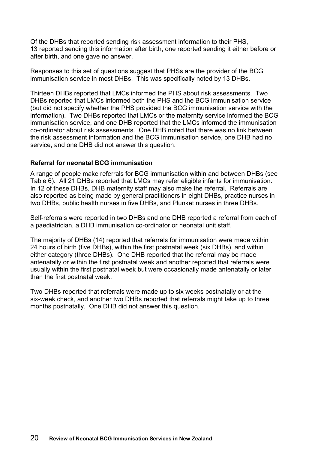Of the DHBs that reported sending risk assessment information to their PHS, 13 reported sending this information after birth, one reported sending it either before or after birth, and one gave no answer.

Responses to this set of questions suggest that PHSs are the provider of the BCG immunisation service in most DHBs. This was specifically noted by 13 DHBs.

Thirteen DHBs reported that LMCs informed the PHS about risk assessments. Two DHBs reported that LMCs informed both the PHS and the BCG immunisation service (but did not specify whether the PHS provided the BCG immunisation service with the information). Two DHBs reported that LMCs or the maternity service informed the BCG immunisation service, and one DHB reported that the LMCs informed the immunisation co-ordinator about risk assessments. One DHB noted that there was no link between the risk assessment information and the BCG immunisation service, one DHB had no service, and one DHB did not answer this question.

## **Referral for neonatal BCG immunisation**

A range of people make referrals for BCG immunisation within and between DHBs (see Table 6). All 21 DHBs reported that LMCs may refer eligible infants for immunisation. In 12 of these DHBs, DHB maternity staff may also make the referral. Referrals are also reported as being made by general practitioners in eight DHBs, practice nurses in two DHBs, public health nurses in five DHBs, and Plunket nurses in three DHBs.

Self-referrals were reported in two DHBs and one DHB reported a referral from each of a paediatrician, a DHB immunisation co-ordinator or neonatal unit staff.

The majority of DHBs (14) reported that referrals for immunisation were made within 24 hours of birth (five DHBs), within the first postnatal week (six DHBs), and within either category (three DHBs). One DHB reported that the referral may be made antenatally or within the first postnatal week and another reported that referrals were usually within the first postnatal week but were occasionally made antenatally or later than the first postnatal week.

Two DHBs reported that referrals were made up to six weeks postnatally or at the six-week check, and another two DHBs reported that referrals might take up to three months postnatally. One DHB did not answer this question.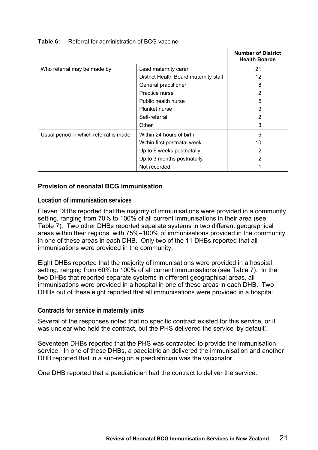|                                        |                                       | <b>Number of District</b><br><b>Health Boards</b> |
|----------------------------------------|---------------------------------------|---------------------------------------------------|
| Who referral may be made by            | Lead maternity carer                  | 21                                                |
|                                        | District Health Board maternity staff | 12                                                |
|                                        | General practitioner                  | 8                                                 |
|                                        | Practice nurse                        | 2                                                 |
|                                        | Public health nurse                   | 5                                                 |
|                                        | Plunket nurse                         | 3                                                 |
|                                        | Self-referral                         | 2                                                 |
|                                        | Other                                 | 3                                                 |
| Usual period in which referral is made | Within 24 hours of birth              | 5                                                 |
|                                        | Within first postnatal week           | 10                                                |
|                                        | Up to 6 weeks postnatally             |                                                   |
|                                        | Up to 3 months postnatally            | 2                                                 |
|                                        | Not recorded                          |                                                   |

#### <span id="page-28-0"></span>**Table 6:** Referral for administration of BCG vaccine

#### **Provision of neonatal BCG immunisation**

#### **Location of immunisation services**

Eleven DHBs reported that the majority of immunisations were provided in a community setting, ranging from 70% to 100% of all current immunisations in their area (see Table 7). Two other DHBs reported separate systems in two different geographical areas within their regions, with 75%–100% of immunisations provided in the community in one of these areas in each DHB. Only two of the 11 DHBs reported that all immunisations were provided in the community.

Eight DHBs reported that the majority of immunisations were provided in a hospital setting, ranging from 60% to 100% of all current immunisations (see Table 7). In the two DHBs that reported separate systems in different geographical areas, all immunisations were provided in a hospital in one of these areas in each DHB. Two DHBs out of these eight reported that all immunisations were provided in a hospital.

#### **Contracts for service in maternity units**

Several of the responses noted that no specific contract existed for this service, or it was unclear who held the contract, but the PHS delivered the service 'by default'.

Seventeen DHBs reported that the PHS was contracted to provide the immunisation service. In one of these DHBs, a paediatrician delivered the immunisation and another DHB reported that in a sub-region a paediatrician was the vaccinator.

One DHB reported that a paediatrician had the contract to deliver the service.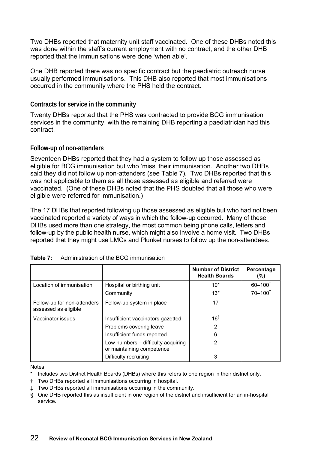<span id="page-29-0"></span>Two DHBs reported that maternity unit staff vaccinated. One of these DHBs noted this was done within the staff's current employment with no contract, and the other DHB reported that the immunisations were done 'when able'.

One DHB reported there was no specific contract but the paediatric outreach nurse usually performed immunisations. This DHB also reported that most immunisations occurred in the community where the PHS held the contract.

## **Contracts for service in the community**

Twenty DHBs reported that the PHS was contracted to provide BCG immunisation services in the community, with the remaining DHB reporting a paediatrician had this contract.

## **Follow-up of non-attenders**

Seventeen DHBs reported that they had a system to follow up those assessed as eligible for BCG immunisation but who 'miss' their immunisation. Another two DHBs said they did not follow up non-attenders (see Table 7). Two DHBs reported that this was not applicable to them as all those assessed as eligible and referred were vaccinated. (One of these DHBs noted that the PHS doubted that all those who were eligible were referred for immunisation.)

The 17 DHBs that reported following up those assessed as eligible but who had not been vaccinated reported a variety of ways in which the follow-up occurred. Many of these DHBs used more than one strategy, the most common being phone calls, letters and follow-up by the public health nurse, which might also involve a home visit. Two DHBs reported that they might use LMCs and Plunket nurses to follow up the non-attendees.

|                                                     |                                                                 | <b>Number of District</b><br><b>Health Boards</b> | Percentage<br>$(\%)$  |
|-----------------------------------------------------|-----------------------------------------------------------------|---------------------------------------------------|-----------------------|
| Location of immunisation                            | Hospital or birthing unit                                       | $10*$                                             | $60 - 100^{\dagger}$  |
|                                                     | Community                                                       | $13*$                                             | $70 - 100^{\ddagger}$ |
| Follow-up for non-attenders<br>assessed as eligible | Follow-up system in place                                       | 17                                                |                       |
| Vaccinator issues                                   | Insufficient vaccinators gazetted                               | $16^{\$}$                                         |                       |
|                                                     | Problems covering leave                                         | 2                                                 |                       |
|                                                     | Insufficient funds reported                                     | 6                                                 |                       |
|                                                     | Low numbers – difficulty acquiring<br>or maintaining competence |                                                   |                       |
|                                                     | Difficulty recruiting                                           | 3                                                 |                       |

| Table 7: | Administration of the BCG immunisation |  |  |
|----------|----------------------------------------|--|--|
|          |                                        |  |  |

Notes:

- Includes two District Health Boards (DHBs) where this refers to one region in their district only.
- † Two DHBs reported all immunisations occurring in hospital.
- ‡ Two DHBs reported all immunisations occurring in the community.
- § One DHB reported this as insufficient in one region of the district and insufficient for an in-hospital service.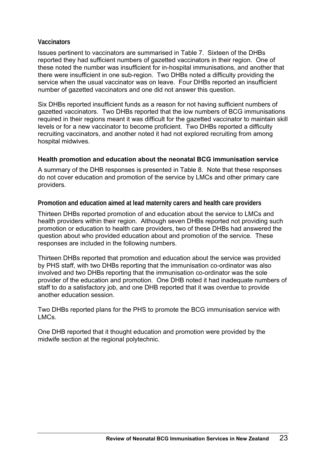#### **Vaccinators**

Issues pertinent to vaccinators are summarised in Table 7. Sixteen of the DHBs reported they had sufficient numbers of gazetted vaccinators in their region. One of these noted the number was insufficient for in-hospital immunisations, and another that there were insufficient in one sub-region. Two DHBs noted a difficulty providing the service when the usual vaccinator was on leave. Four DHBs reported an insufficient number of gazetted vaccinators and one did not answer this question.

Six DHBs reported insufficient funds as a reason for not having sufficient numbers of gazetted vaccinators. Two DHBs reported that the low numbers of BCG immunisations required in their regions meant it was difficult for the gazetted vaccinator to maintain skill levels or for a new vaccinator to become proficient. Two DHBs reported a difficulty recruiting vaccinators, and another noted it had not explored recruiting from among hospital midwives.

#### **Health promotion and education about the neonatal BCG immunisation service**

A summary of the DHB responses is presented in Table 8. Note that these responses do not cover education and promotion of the service by LMCs and other primary care providers.

**Promotion and education aimed at lead maternity carers and health care providers** 

Thirteen DHBs reported promotion of and education about the service to LMCs and health providers within their region. Although seven DHBs reported not providing such promotion or education to health care providers, two of these DHBs had answered the question about who provided education about and promotion of the service. These responses are included in the following numbers.

Thirteen DHBs reported that promotion and education about the service was provided by PHS staff, with two DHBs reporting that the immunisation co-ordinator was also involved and two DHBs reporting that the immunisation co-ordinator was the sole provider of the education and promotion. One DHB noted it had inadequate numbers of staff to do a satisfactory job, and one DHB reported that it was overdue to provide another education session.

Two DHBs reported plans for the PHS to promote the BCG immunisation service with LMCs.

One DHB reported that it thought education and promotion were provided by the midwife section at the regional polytechnic.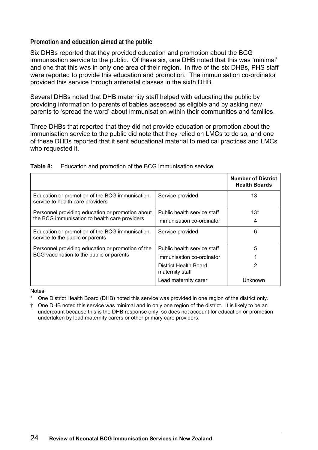## <span id="page-31-0"></span>**Promotion and education aimed at the public**

Six DHBs reported that they provided education and promotion about the BCG immunisation service to the public. Of these six, one DHB noted that this was 'minimal' and one that this was in only one area of their region. In five of the six DHBs, PHS staff were reported to provide this education and promotion. The immunisation co-ordinator provided this service through antenatal classes in the sixth DHB.

Several DHBs noted that DHB maternity staff helped with educating the public by providing information to parents of babies assessed as eligible and by asking new parents to 'spread the word' about immunisation within their communities and families.

Three DHBs that reported that they did not provide education or promotion about the immunisation service to the public did note that they relied on LMCs to do so, and one of these DHBs reported that it sent educational material to medical practices and LMCs who requested it.

|                                                                                                   |                                                          | <b>Number of District</b><br><b>Health Boards</b> |
|---------------------------------------------------------------------------------------------------|----------------------------------------------------------|---------------------------------------------------|
| Education or promotion of the BCG immunisation<br>service to health care providers                | Service provided                                         | 13                                                |
| Personnel providing education or promotion about<br>the BCG immunisation to health care providers | Public health service staff<br>Immunisation co-ordinator | $13*$<br>4                                        |
| Education or promotion of the BCG immunisation<br>service to the public or parents                | Service provided                                         | $6^{\dagger}$                                     |
| Personnel providing education or promotion of the                                                 | Public health service staff                              | 5                                                 |
| BCG vaccination to the public or parents                                                          | Immunisation co-ordinator                                |                                                   |
|                                                                                                   | District Health Board<br>maternity staff                 | 2                                                 |
|                                                                                                   | Lead maternity carer                                     | Unknown                                           |

| Table 8: | Education and promotion of the BCG immunisation service |  |  |
|----------|---------------------------------------------------------|--|--|
|          |                                                         |  |  |

Notes:

One District Health Board (DHB) noted this service was provided in one region of the district only.

† One DHB noted this service was minimal and in only one region of the district. It is likely to be an undercount because this is the DHB response only, so does not account for education or promotion undertaken by lead maternity carers or other primary care providers.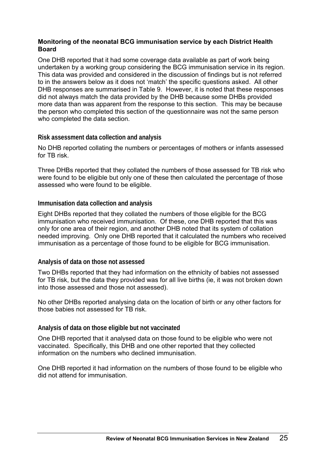## **Monitoring of the neonatal BCG immunisation service by each District Health Board**

One DHB reported that it had some coverage data available as part of work being undertaken by a working group considering the BCG immunisation service in its region. This data was provided and considered in the discussion of findings but is not referred to in the answers below as it does not 'match' the specific questions asked. All other DHB responses are summarised in Table 9. However, it is noted that these responses did not always match the data provided by the DHB because some DHBs provided more data than was apparent from the response to this section. This may be because the person who completed this section of the questionnaire was not the same person who completed the data section.

## **Risk assessment data collection and analysis**

No DHB reported collating the numbers or percentages of mothers or infants assessed for TB risk.

Three DHBs reported that they collated the numbers of those assessed for TB risk who were found to be eligible but only one of these then calculated the percentage of those assessed who were found to be eligible.

## **Immunisation data collection and analysis**

Eight DHBs reported that they collated the numbers of those eligible for the BCG immunisation who received immunisation. Of these, one DHB reported that this was only for one area of their region, and another DHB noted that its system of collation needed improving. Only one DHB reported that it calculated the numbers who received immunisation as a percentage of those found to be eligible for BCG immunisation.

#### **Analysis of data on those not assessed**

Two DHBs reported that they had information on the ethnicity of babies not assessed for TB risk, but the data they provided was for all live births (ie, it was not broken down into those assessed and those not assessed).

No other DHBs reported analysing data on the location of birth or any other factors for those babies not assessed for TB risk.

#### **Analysis of data on those eligible but not vaccinated**

One DHB reported that it analysed data on those found to be eligible who were not vaccinated. Specifically, this DHB and one other reported that they collected information on the numbers who declined immunisation.

One DHB reported it had information on the numbers of those found to be eligible who did not attend for immunisation.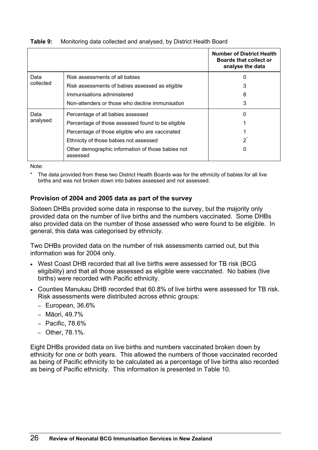|           |                                                               | <b>Number of District Health</b><br><b>Boards that collect or</b><br>analyse the data |
|-----------|---------------------------------------------------------------|---------------------------------------------------------------------------------------|
| Data      | Risk assessments of all babies                                |                                                                                       |
| collected | Risk assessments of babies assessed as eligible               |                                                                                       |
|           | Immunisations administered                                    | 8                                                                                     |
|           | Non-attenders or those who decline immunisation               | 3                                                                                     |
| Data      | Percentage of all babies assessed                             | 0                                                                                     |
| analysed  | Percentage of those assessed found to be eligible             |                                                                                       |
|           | Percentage of those eligible who are vaccinated               |                                                                                       |
|           | Ethnicity of those babies not assessed                        | $2^{\degree}$                                                                         |
|           | Other demographic information of those babies not<br>assessed |                                                                                       |

#### <span id="page-33-0"></span>**Table 9:** Monitoring data collected and analysed, by District Health Board

Note:

The data provided from these two District Health Boards was for the ethnicity of babies for all live births and was not broken down into babies assessed and not assessed.

## **Provision of 2004 and 2005 data as part of the survey**

Sixteen DHBs provided some data in response to the survey, but the majority only provided data on the number of live births and the numbers vaccinated. Some DHBs also provided data on the number of those assessed who were found to be eligible. In general, this data was categorised by ethnicity.

Two DHBs provided data on the number of risk assessments carried out, but this information was for 2004 only.

- West Coast DHB recorded that all live births were assessed for TB risk (BCG) eligibility) and that all those assessed as eligible were vaccinated. No babies (live births) were recorded with Pacific ethnicity.
- Counties Manukau DHB recorded that 60.8% of live births were assessed for TB risk. Risk assessments were distributed across ethnic groups:
	- European, 36.6%
	- Māori, 49.7%
	- Pacific, 78.6%
	- Other, 78.1%.

Eight DHBs provided data on live births and numbers vaccinated broken down by ethnicity for one or both years. This allowed the numbers of those vaccinated recorded as being of Pacific ethnicity to be calculated as a percentage of live births also recorded as being of Pacific ethnicity. This information is presented in Table 10.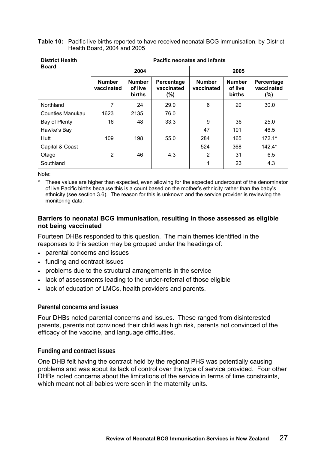| <b>District Health</b> | <b>Pacific neonates and infants</b> |                                    |                                    |                             |                                           |                                 |  |
|------------------------|-------------------------------------|------------------------------------|------------------------------------|-----------------------------|-------------------------------------------|---------------------------------|--|
| <b>Board</b>           | 2004                                |                                    |                                    | 2005                        |                                           |                                 |  |
|                        | <b>Number</b><br>vaccinated         | <b>Number</b><br>of live<br>births | Percentage<br>vaccinated<br>$(\%)$ | <b>Number</b><br>vaccinated | <b>Number</b><br>of live<br><b>births</b> | Percentage<br>vaccinated<br>(%) |  |
| Northland              | 7                                   | 24                                 | 29.0                               | 6                           | 20                                        | 30.0                            |  |
| Counties Manukau       | 1623                                | 2135                               | 76.0                               |                             |                                           |                                 |  |
| Bay of Plenty          | 16                                  | 48                                 | 33.3                               | 9                           | 36                                        | 25.0                            |  |
| Hawke's Bay            |                                     |                                    |                                    | 47                          | 101                                       | 46.5                            |  |
| Hutt                   | 109                                 | 198                                | 55.0                               | 284                         | 165                                       | $172.1*$                        |  |
| Capital & Coast        |                                     |                                    |                                    | 524                         | 368                                       | $142.4*$                        |  |
| Otago                  | $\overline{2}$                      | 46                                 | 4.3                                | 2                           | 31                                        | 6.5                             |  |
| Southland              |                                     |                                    |                                    |                             | 23                                        | 4.3                             |  |

<span id="page-34-0"></span>**Table 10:** Pacific live births reported to have received neonatal BCG immunisation, by District Health Board, 2004 and 2005

Note:

These values are higher than expected, even allowing for the expected undercount of the denominator of live Pacific births because this is a count based on the mother's ethnicity rather than the baby's ethnicity (see section 3.6). The reason for this is unknown and the service provider is reviewing the monitoring data.

#### **Barriers to neonatal BCG immunisation, resulting in those assessed as eligible not being vaccinated**

Fourteen DHBs responded to this question. The main themes identified in the responses to this section may be grouped under the headings of:

- parental concerns and issues
- funding and contract issues
- problems due to the structural arrangements in the service
- lack of assessments leading to the under-referral of those eligible
- lack of education of LMCs, health providers and parents.

#### **Parental concerns and issues**

Four DHBs noted parental concerns and issues. These ranged from disinterested parents, parents not convinced their child was high risk, parents not convinced of the efficacy of the vaccine, and language difficulties.

#### **Funding and contract issues**

One DHB felt having the contract held by the regional PHS was potentially causing problems and was about its lack of control over the type of service provided. Four other DHBs noted concerns about the limitations of the service in terms of time constraints, which meant not all babies were seen in the maternity units.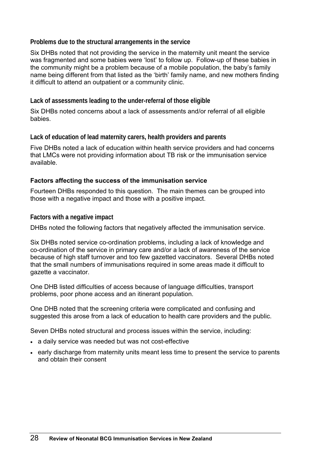**Problems due to the structural arrangements in the service** 

Six DHBs noted that not providing the service in the maternity unit meant the service was fragmented and some babies were 'lost' to follow up. Follow-up of these babies in the community might be a problem because of a mobile population, the baby's family name being different from that listed as the 'birth' family name, and new mothers finding it difficult to attend an outpatient or a community clinic.

**Lack of assessments leading to the under-referral of those eligible** 

Six DHBs noted concerns about a lack of assessments and/or referral of all eligible babies.

**Lack of education of lead maternity carers, health providers and parents** 

Five DHBs noted a lack of education within health service providers and had concerns that LMCs were not providing information about TB risk or the immunisation service available.

## **Factors affecting the success of the immunisation service**

Fourteen DHBs responded to this question. The main themes can be grouped into those with a negative impact and those with a positive impact.

**Factors with a negative impact** 

DHBs noted the following factors that negatively affected the immunisation service.

Six DHBs noted service co-ordination problems, including a lack of knowledge and co-ordination of the service in primary care and/or a lack of awareness of the service because of high staff turnover and too few gazetted vaccinators. Several DHBs noted that the small numbers of immunisations required in some areas made it difficult to gazette a vaccinator.

One DHB listed difficulties of access because of language difficulties, transport problems, poor phone access and an itinerant population.

One DHB noted that the screening criteria were complicated and confusing and suggested this arose from a lack of education to health care providers and the public.

Seven DHBs noted structural and process issues within the service, including:

- a daily service was needed but was not cost-effective
- early discharge from maternity units meant less time to present the service to parents and obtain their consent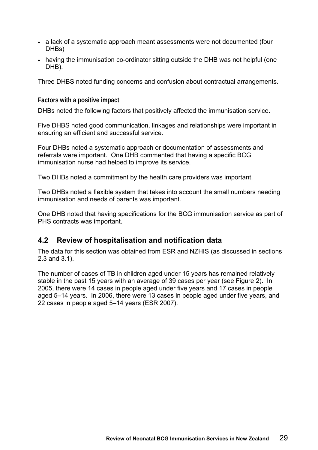- <span id="page-36-0"></span>• a lack of a systematic approach meant assessments were not documented (four DHBs)
- having the immunisation co-ordinator sitting outside the DHB was not helpful (one DHB).

Three DHBS noted funding concerns and confusion about contractual arrangements.

**Factors with a positive impact** 

DHBs noted the following factors that positively affected the immunisation service.

Five DHBS noted good communication, linkages and relationships were important in ensuring an efficient and successful service.

Four DHBs noted a systematic approach or documentation of assessments and referrals were important. One DHB commented that having a specific BCG immunisation nurse had helped to improve its service.

Two DHBs noted a commitment by the health care providers was important.

Two DHBs noted a flexible system that takes into account the small numbers needing immunisation and needs of parents was important.

One DHB noted that having specifications for the BCG immunisation service as part of PHS contracts was important.

# **4.2 Review of hospitalisation and notification data**

The data for this section was obtained from ESR and NZHIS (as discussed in sections 2.3 and 3.1).

The number of cases of TB in children aged under 15 years has remained relatively stable in the past 15 years with an average of 39 cases per year (see Figure 2). In 2005, there were 14 cases in people aged under five years and 17 cases in people aged 5–14 years. In 2006, there were 13 cases in people aged under five years, and 22 cases in people aged 5–14 years (ESR 2007).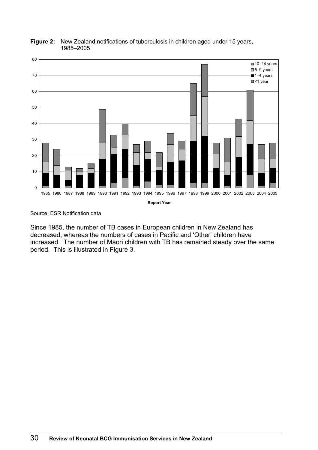

#### <span id="page-37-0"></span>**Figure 2:** New Zealand notifications of tuberculosis in children aged under 15 years, 1985–2005

Source: ESR Notification data

Since 1985, the number of TB cases in European children in New Zealand has decreased, whereas the numbers of cases in Pacific and 'Other' children have increased. The number of Māori children with TB has remained steady over the same period. This is illustrated in Figure 3.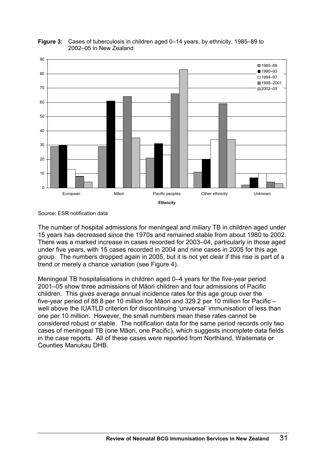

#### <span id="page-38-0"></span>**Figure 3:** Cases of tuberculosis in children aged 0–14 years, by ethnicity, 1985–89 to 2002–05 in New Zealand

The number of hospital admissions for meningeal and miliary TB in children aged under 15 years has decreased since the 1970s and remained stable from about 1980 to 2002. There was a marked increase in cases recorded for 2003–04, particularly in those aged under five years, with 15 cases recorded in 2004 and nine cases in 2005 for this age group. The numbers dropped again in 2005, but it is not yet clear if this rise is part of a trend or merely a chance variation (see Figure 4).

Meningeal TB hospitalisations in children aged 0–4 years for the five-year period 2001–05 show three admissions of Māori children and four admissions of Pacific children. This gives average annual incidence rates for this age group over the five-year period of 88.8 per 10 million for Māori and 329.2 per 10 million for Pacific – well above the IUATLD criterion for discontinuing 'universal' immunisation of less than one per 10 million. However, the small numbers mean these rates cannot be considered robust or stable. The notification data for the same period records only two cases of meningeal TB (one Māori, one Pacific), which suggests incomplete data fields in the case reports. All of these cases were reported from Northland, Waitemata or Counties Manukau DHB.

Source: ESR notification data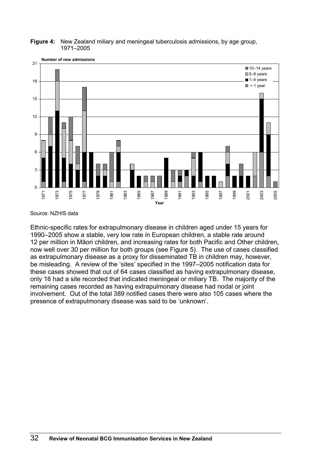

<span id="page-39-0"></span>**Figure 4:** New Zealand miliary and meningeal tuberculosis admissions, by age group, 1971–2005

Source: NZHIS data

Ethnic-specific rates for extrapulmonary disease in children aged under 15 years for 1990–2005 show a stable, very low rate in European children, a stable rate around 12 per million in Māori children, and increasing rates for both Pacific and Other children, now well over 30 per million for both groups (see Figure 5). The use of cases classified as extrapulmonary disease as a proxy for disseminated TB in children may, however, be misleading. A review of the 'sites' specified in the 1997–2005 notification data for these cases showed that out of 64 cases classified as having extrapulmonary disease, only 16 had a site recorded that indicated meningeal or miliary TB. The majority of the remaining cases recorded as having extrapulmonary disease had nodal or joint involvement. Out of the total 389 notified cases there were also 105 cases where the presence of extrapulmonary disease was said to be 'unknown'.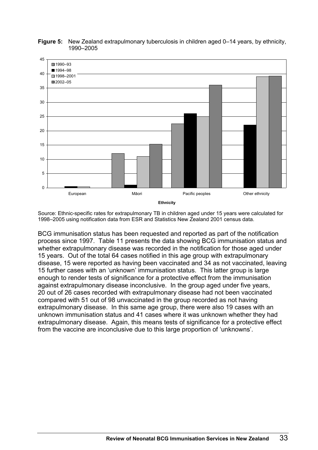

<span id="page-40-0"></span>**Figure 5:** New Zealand extrapulmonary tuberculosis in children aged 0–14 years, by ethnicity, 1990–2005

Source: Ethnic-specific rates for extrapulmonary TB in children aged under 15 years were calculated for 1998–2005 using notification data from ESR and Statistics New Zealand 2001 census data.

BCG immunisation status has been requested and reported as part of the notification process since 1997. Table 11 presents the data showing BCG immunisation status and whether extrapulmonary disease was recorded in the notification for those aged under 15 years. Out of the total 64 cases notified in this age group with extrapulmonary disease, 15 were reported as having been vaccinated and 34 as not vaccinated, leaving 15 further cases with an 'unknown' immunisation status. This latter group is large enough to render tests of significance for a protective effect from the immunisation against extrapulmonary disease inconclusive. In the group aged under five years, 20 out of 26 cases recorded with extrapulmonary disease had not been vaccinated compared with 51 out of 98 unvaccinated in the group recorded as not having extrapulmonary disease. In this same age group, there were also 19 cases with an unknown immunisation status and 41 cases where it was unknown whether they had extrapulmonary disease. Again, this means tests of significance for a protective effect from the vaccine are inconclusive due to this large proportion of 'unknowns'.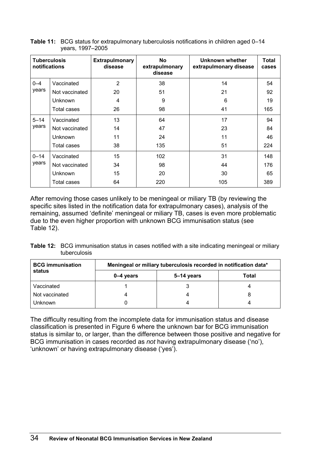| <b>Tuberculosis</b><br>notifications |                | <b>Extrapulmonary</b><br>disease | No<br>extrapulmonary<br>disease | Unknown whether<br>extrapulmonary disease | <b>Total</b><br>cases |
|--------------------------------------|----------------|----------------------------------|---------------------------------|-------------------------------------------|-----------------------|
| $0 - 4$                              | Vaccinated     | $\overline{2}$                   | 38                              | 14                                        | 54                    |
| years                                | Not vaccinated | 20                               | 51                              | 21                                        | 92                    |
|                                      | Unknown        | 4                                | 9                               | 6                                         | 19                    |
|                                      | Total cases    | 26                               | 98                              | 41                                        | 165                   |
| $5 - 14$                             | Vaccinated     | 13                               | 64                              | 17                                        | 94                    |
| years                                | Not vaccinated | 14                               | 47                              | 23                                        | 84                    |
|                                      | <b>Unknown</b> | 11                               | 24                              | 11                                        | 46                    |
|                                      | Total cases    | 38                               | 135                             | 51                                        | 224                   |
| $0 - 14$                             | Vaccinated     | 15                               | 102                             | 31                                        | 148                   |
| years                                | Not vaccinated | 34                               | 98                              | 44                                        | 176                   |
|                                      | <b>Unknown</b> | 15                               | 20                              | 30                                        | 65                    |
|                                      | Total cases    | 64                               | 220                             | 105                                       | 389                   |

<span id="page-41-0"></span>**Table 11:** BCG status for extrapulmonary tuberculosis notifications in children aged 0–14 years, 1997–2005

After removing those cases unlikely to be meningeal or miliary TB (by reviewing the specific sites listed in the notification data for extrapulmonary cases), analysis of the remaining, assumed 'definite' meningeal or miliary TB, cases is even more problematic due to the even higher proportion with unknown BCG immunisation status (see Table 12).

**Table 12:** BCG immunisation status in cases notified with a site indicating meningeal or miliary tuberculosis

| <b>BCG immunisation</b> | Meningeal or miliary tuberculosis recorded in notification data* |            |       |  |  |  |
|-------------------------|------------------------------------------------------------------|------------|-------|--|--|--|
| status                  | 0–4 years                                                        | 5–14 years | Total |  |  |  |
| Vaccinated              |                                                                  |            |       |  |  |  |
| Not vaccinated          | 4                                                                |            |       |  |  |  |
| Jnknown                 |                                                                  |            |       |  |  |  |

The difficulty resulting from the incomplete data for immunisation status and disease classification is presented in Figure 6 where the unknown bar for BCG immunisation status is similar to, or larger, than the difference between those positive and negative for BCG immunisation in cases recorded as *not* having extrapulmonary disease ('no'), 'unknown' or having extrapulmonary disease ('yes').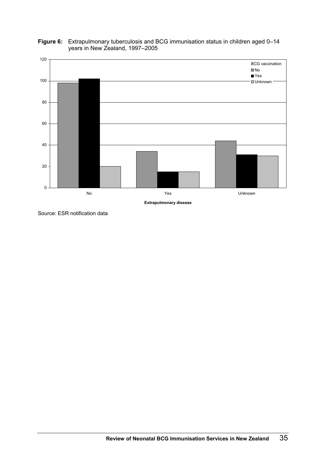

<span id="page-42-0"></span>**Figure 6:** Extrapulmonary tuberculosis and BCG immunisation status in children aged 0–14 years in New Zealand, 1997–2005

Source: ESR notification data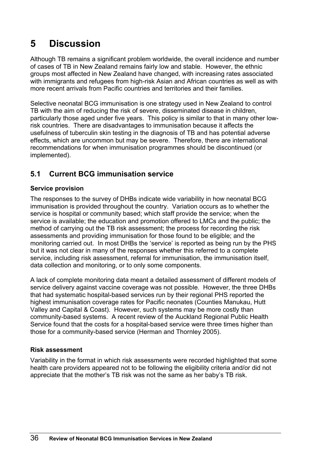# <span id="page-43-0"></span>**5 Discussion**

Although TB remains a significant problem worldwide, the overall incidence and number of cases of TB in New Zealand remains fairly low and stable. However, the ethnic groups most affected in New Zealand have changed, with increasing rates associated with immigrants and refugees from high-risk Asian and African countries as well as with more recent arrivals from Pacific countries and territories and their families.

Selective neonatal BCG immunisation is one strategy used in New Zealand to control TB with the aim of reducing the risk of severe, disseminated disease in children, particularly those aged under five years. This policy is similar to that in many other lowrisk countries. There are disadvantages to immunisation because it affects the usefulness of tuberculin skin testing in the diagnosis of TB and has potential adverse effects, which are uncommon but may be severe. Therefore, there are international recommendations for when immunisation programmes should be discontinued (or implemented).

# **5.1 Current BCG immunisation service**

# **Service provision**

The responses to the survey of DHBs indicate wide variability in how neonatal BCG immunisation is provided throughout the country. Variation occurs as to whether the service is hospital or community based; which staff provide the service; when the service is available; the education and promotion offered to LMCs and the public; the method of carrying out the TB risk assessment; the process for recording the risk assessments and providing immunisation for those found to be eligible; and the monitoring carried out. In most DHBs the 'service' is reported as being run by the PHS but it was not clear in many of the responses whether this referred to a complete service, including risk assessment, referral for immunisation, the immunisation itself, data collection and monitoring, or to only some components.

A lack of complete monitoring data meant a detailed assessment of different models of service delivery against vaccine coverage was not possible. However, the three DHBs that had systematic hospital-based services run by their regional PHS reported the highest immunisation coverage rates for Pacific neonates (Counties Manukau, Hutt Valley and Capital & Coast). However, such systems may be more costly than community-based systems. A recent review of the Auckland Regional Public Health Service found that the costs for a hospital-based service were three times higher than those for a community-based service (Herman and Thornley 2005).

# **Risk assessment**

Variability in the format in which risk assessments were recorded highlighted that some health care providers appeared not to be following the eligibility criteria and/or did not appreciate that the mother's TB risk was not the same as her baby's TB risk.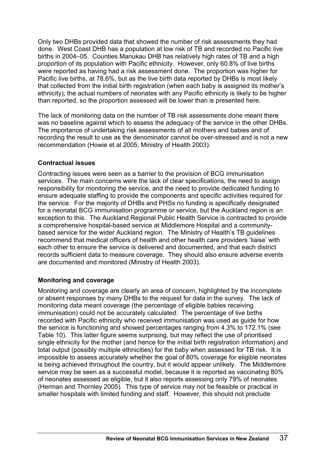Only two DHBs provided data that showed the number of risk assessments they had done. West Coast DHB has a population at low risk of TB and recorded no Pacific live births in 2004–05. Counties Manukau DHB has relatively high rates of TB and a high proportion of its population with Pacific ethnicity. However, only 60.8% of live births were reported as having had a risk assessment done. The proportion was higher for Pacific live births, at 78.6%, but as the live birth data reported by DHBs is most likely that collected from the initial birth registration (when each baby is assigned its mother's ethnicity), the actual numbers of neonates with any Pacific ethnicity is likely to be higher than reported, so the proportion assessed will be lower than is presented here.

The lack of monitoring data on the number of TB risk assessments done meant there was no baseline against which to assess the adequacy of the service in the other DHBs. The importance of undertaking risk assessments of all mothers and babies and of recording the result to use as the denominator cannot be over-stressed and is not a new recommendation (Howie et al 2005; Ministry of Health 2003).

## **Contractual issues**

Contracting issues were seen as a barrier to the provision of BCG immunisation services. The main concerns were the lack of clear specifications, the need to assign responsibility for monitoring the service, and the need to provide dedicated funding to ensure adequate staffing to provide the components and specific activities required for the service. For the majority of DHBs and PHSs no funding is specifically designated for a neonatal BCG immunisation programme or service, but the Auckland region is an exception to this. The Auckland Regional Public Health Service is contracted to provide a comprehensive hospital-based service at Middlemore Hospital and a communitybased service for the wider Auckland region. The Ministry of Health's TB guidelines recommend that medical officers of health and other health care providers 'liaise' with each other to ensure the service is delivered and documented, and that each district records sufficient data to measure coverage. They should also ensure adverse events are documented and monitored (Ministry of Health 2003).

## **Monitoring and coverage**

Monitoring and coverage are clearly an area of concern, highlighted by the incomplete or absent responses by many DHBs to the request for data in the survey. The lack of monitoring data meant coverage (the percentage of eligible babies receiving immunisation) could not be accurately calculated. The percentage of live births recorded with Pacific ethnicity who received immunisation was used as guide for how the service is functioning and showed percentages ranging from 4.3% to 172.1% (see Table 10). This latter figure seems surprising, but may reflect the use of prioritised single ethnicity for the mother (and hence for the initial birth registration information) and total output (possibly multiple ethnicities) for the baby when assessed for TB risk. It is impossible to assess accurately whether the goal of 80% coverage for eligible neonates is being achieved throughout the country, but it would appear unlikely. The Middlemore service may be seen as a successful model, because it is reported as vaccinating 80% of neonates assessed as eligible, but it also reports assessing only 79% of neonates (Herman and Thornley 2005). This type of service may not be feasible or practical in smaller hospitals with limited funding and staff. However, this should not preclude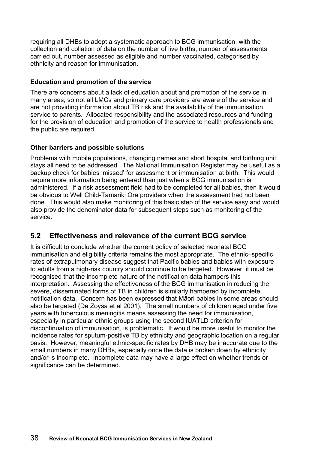<span id="page-45-0"></span>requiring all DHBs to adopt a systematic approach to BCG immunisation, with the collection and collation of data on the number of live births, number of assessments carried out, number assessed as eligible and number vaccinated, categorised by ethnicity and reason for immunisation.

## **Education and promotion of the service**

There are concerns about a lack of education about and promotion of the service in many areas, so not all LMCs and primary care providers are aware of the service and are not providing information about TB risk and the availability of the immunisation service to parents. Allocated responsibility and the associated resources and funding for the provision of education and promotion of the service to health professionals and the public are required.

# **Other barriers and possible solutions**

Problems with mobile populations, changing names and short hospital and birthing unit stays all need to be addressed. The National Immunisation Register may be useful as a backup check for babies 'missed' for assessment or immunisation at birth. This would require more information being entered than just when a BCG immunisation is administered. If a risk assessment field had to be completed for all babies, then it would be obvious to Well Child-Tamariki Ora providers when the assessment had not been done. This would also make monitoring of this basic step of the service easy and would also provide the denominator data for subsequent steps such as monitoring of the service.

# **5.2 Effectiveness and relevance of the current BCG service**

It is difficult to conclude whether the current policy of selected neonatal BCG immunisation and eligibility criteria remains the most appropriate. The ethnic–specific rates of extrapulmonary disease suggest that Pacific babies and babies with exposure to adults from a high-risk country should continue to be targeted. However, it must be recognised that the incomplete nature of the notification data hampers this interpretation. Assessing the effectiveness of the BCG immunisation in reducing the severe, disseminated forms of TB in children is similarly hampered by incomplete notification data. Concern has been expressed that Māori babies in some areas should also be targeted (De Zoysa et al 2001). The small numbers of children aged under five years with tuberculous meningitis means assessing the need for immunisation, especially in particular ethnic groups using the second IUATLD criterion for discontinuation of immunisation, is problematic. It would be more useful to monitor the incidence rates for sputum-positive TB by ethnicity and geographic location on a regular basis. However, meaningful ethnic-specific rates by DHB may be inaccurate due to the small numbers in many DHBs, especially once the data is broken down by ethnicity and/or is incomplete. Incomplete data may have a large effect on whether trends or significance can be determined.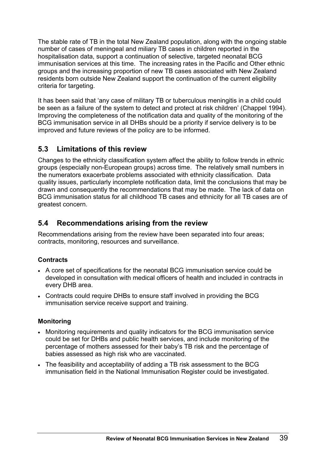<span id="page-46-0"></span>The stable rate of TB in the total New Zealand population, along with the ongoing stable number of cases of meningeal and miliary TB cases in children reported in the hospitalisation data, support a continuation of selective, targeted neonatal BCG immunisation services at this time. The increasing rates in the Pacific and Other ethnic groups and the increasing proportion of new TB cases associated with New Zealand residents born outside New Zealand support the continuation of the current eligibility criteria for targeting.

It has been said that 'any case of military TB or tuberculous meningitis in a child could be seen as a failure of the system to detect and protect at risk children' (Chappel 1994). Improving the completeness of the notification data and quality of the monitoring of the BCG immunisation service in all DHBs should be a priority if service delivery is to be improved and future reviews of the policy are to be informed.

# **5.3 Limitations of this review**

Changes to the ethnicity classification system affect the ability to follow trends in ethnic groups (especially non-European groups) across time. The relatively small numbers in the numerators exacerbate problems associated with ethnicity classification. Data quality issues, particularly incomplete notification data, limit the conclusions that may be drawn and consequently the recommendations that may be made. The lack of data on BCG immunisation status for all childhood TB cases and ethnicity for all TB cases are of greatest concern.

# **5.4 Recommendations arising from the review**

Recommendations arising from the review have been separated into four areas; contracts, monitoring, resources and surveillance.

# **Contracts**

- A core set of specifications for the neonatal BCG immunisation service could be developed in consultation with medical officers of health and included in contracts in every DHB area.
- Contracts could require DHBs to ensure staff involved in providing the BCG immunisation service receive support and training.

# **Monitoring**

- Monitoring requirements and quality indicators for the BCG immunisation service could be set for DHBs and public health services, and include monitoring of the percentage of mothers assessed for their baby's TB risk and the percentage of babies assessed as high risk who are vaccinated.
- The feasibility and acceptability of adding a TB risk assessment to the BCG immunisation field in the National Immunisation Register could be investigated.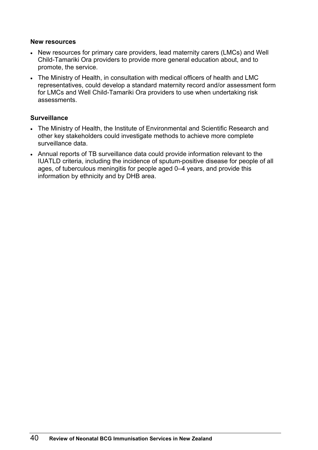#### **New resources**

- New resources for primary care providers, lead maternity carers (LMCs) and Well Child-Tamariki Ora providers to provide more general education about, and to promote, the service.
- The Ministry of Health, in consultation with medical officers of health and LMC representatives, could develop a standard maternity record and/or assessment form for LMCs and Well Child-Tamariki Ora providers to use when undertaking risk assessments.

## **Surveillance**

- The Ministry of Health, the Institute of Environmental and Scientific Research and other key stakeholders could investigate methods to achieve more complete surveillance data.
- Annual reports of TB surveillance data could provide information relevant to the IUATLD criteria, including the incidence of sputum-positive disease for people of all ages, of tuberculous meningitis for people aged 0–4 years, and provide this information by ethnicity and by DHB area.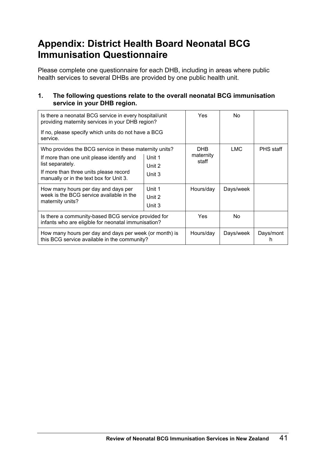# <span id="page-48-0"></span>**Appendix: District Health Board Neonatal BCG Immunisation Questionnaire**

Please complete one questionnaire for each DHB, including in areas where public health services to several DHBs are provided by one public health unit.

## **1. The following questions relate to the overall neonatal BCG immunisation service in your DHB region.**

| Is there a neonatal BCG service in every hospital/unit<br>providing maternity services in your DHB region? | Yes.   | No.                |           |                  |
|------------------------------------------------------------------------------------------------------------|--------|--------------------|-----------|------------------|
| If no, please specify which units do not have a BCG<br>service.                                            |        |                    |           |                  |
| Who provides the BCG service in these maternity units?                                                     |        | DHB                | LMC       | <b>PHS</b> staff |
| If more than one unit please identify and                                                                  | Unit 1 | maternity<br>staff |           |                  |
| list separately.                                                                                           | Unit 2 |                    |           |                  |
| If more than three units please record<br>manually or in the text box for Unit 3.                          | Unit 3 |                    |           |                  |
| How many hours per day and days per                                                                        | Unit 1 | Hours/day          | Days/week |                  |
| week is the BCG service available in the                                                                   | Unit 2 |                    |           |                  |
| maternity units?                                                                                           | Unit 3 |                    |           |                  |
| Is there a community-based BCG service provided for<br>infants who are eligible for neonatal immunisation? |        | <b>Yes</b>         | No.       |                  |
| How many hours per day and days per week (or month) is<br>this BCG service available in the community?     |        | Hours/day          | Days/week | Days/mont<br>h   |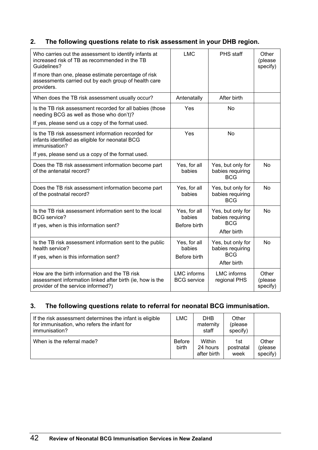# **2. The following questions relate to risk assessment in your DHB region.**

| Who carries out the assessment to identify infants at<br>increased risk of TB as recommended in the TB<br>Guidelines?<br>If more than one, please estimate percentage of risk<br>assessments carried out by each group of health care | <b>LMC</b>                               | PHS staff                                                          | Other<br>(please<br>specify) |
|---------------------------------------------------------------------------------------------------------------------------------------------------------------------------------------------------------------------------------------|------------------------------------------|--------------------------------------------------------------------|------------------------------|
| providers.                                                                                                                                                                                                                            |                                          |                                                                    |                              |
| When does the TB risk assessment usually occur?                                                                                                                                                                                       | Antenatally                              | After birth                                                        |                              |
| Is the TB risk assessment recorded for all babies (those<br>needing BCG as well as those who don't)?                                                                                                                                  | Yes                                      | <b>No</b>                                                          |                              |
| If yes, please send us a copy of the format used.                                                                                                                                                                                     |                                          |                                                                    |                              |
| Is the TB risk assessment information recorded for<br>infants identified as eligible for neonatal BCG<br>immunisation?                                                                                                                | Yes                                      | <b>No</b>                                                          |                              |
| If yes, please send us a copy of the format used.                                                                                                                                                                                     |                                          |                                                                    |                              |
| Does the TB risk assessment information become part<br>of the antenatal record?                                                                                                                                                       | Yes, for all<br>babies                   | Yes, but only for<br>babies requiring<br><b>BCG</b>                | <b>No</b>                    |
| Does the TB risk assessment information become part<br>of the postnatal record?                                                                                                                                                       | Yes, for all<br>babies                   | Yes, but only for<br>babies requiring<br><b>BCG</b>                | <b>No</b>                    |
| Is the TB risk assessment information sent to the local<br><b>BCG</b> service?<br>If yes, when is this information sent?                                                                                                              | Yes, for all<br>babies<br>Before birth   | Yes, but only for<br>babies requiring<br><b>BCG</b><br>After birth | <b>No</b>                    |
| Is the TB risk assessment information sent to the public<br>health service?<br>If yes, when is this information sent?                                                                                                                 | Yes, for all<br>babies<br>Before birth   | Yes, but only for<br>babies requiring<br><b>BCG</b><br>After birth | <b>No</b>                    |
| How are the birth information and the TB risk<br>assessment information linked after birth (ie, how is the<br>provider of the service informed?)                                                                                      | <b>LMC</b> informs<br><b>BCG</b> service | <b>LMC</b> informs<br>regional PHS                                 | Other<br>(please<br>specify) |

# **3. The following questions relate to referral for neonatal BCG immunisation.**

| If the risk assessment determines the infant is eligible<br>for immunisation, who refers the infant for<br>immunisation? | LMC                    | <b>DHB</b><br>maternity<br>staff  | Other<br>(please<br>specify) |                              |
|--------------------------------------------------------------------------------------------------------------------------|------------------------|-----------------------------------|------------------------------|------------------------------|
| When is the referral made?                                                                                               | <b>Before</b><br>birth | Within<br>24 hours<br>after birth | 1st<br>postnatal<br>week     | Other<br>(please<br>specify) |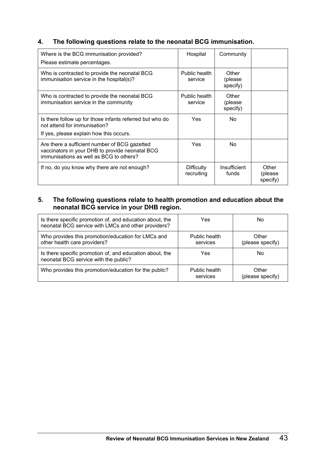# **4. The following questions relate to the neonatal BCG immunisation.**

| Where is the BCG immunisation provided?<br>Please estimate percentages.                                                                     | Hospital                        | Community                    |                              |
|---------------------------------------------------------------------------------------------------------------------------------------------|---------------------------------|------------------------------|------------------------------|
| Who is contracted to provide the neonatal BCG<br>immunisation service in the hospital(s)?                                                   | Public health<br>service        | Other<br>(please<br>specify) |                              |
| Who is contracted to provide the neonatal BCG<br>immunisation service in the community                                                      | Public health<br>service        | Other<br>(please<br>specify) |                              |
| Is there follow up for those infants referred but who do<br>not attend for immunisation?<br>If yes, please explain how this occurs.         | Yes                             | No.                          |                              |
| Are there a sufficient number of BCG gazetted<br>vaccinators in your DHB to provide neonatal BCG<br>immunisations as well as BCG to others? | Yes                             | No.                          |                              |
| If no, do you know why there are not enough?                                                                                                | <b>Difficulty</b><br>recruiting | Insufficient<br>funds        | Other<br>(please<br>specify) |

# **5. The following questions relate to health promotion and education about the neonatal BCG service in your DHB region.**

| Is there specific promotion of, and education about, the<br>neonatal BCG service with LMCs and other providers? | Yes                       | No                        |
|-----------------------------------------------------------------------------------------------------------------|---------------------------|---------------------------|
| Who provides this promotion/education for LMCs and<br>other health care providers?                              | Public health<br>services | Other<br>(please specify) |
| Is there specific promotion of, and education about, the<br>neonatal BCG service with the public?               | Yes                       | No                        |
| Who provides this promotion/education for the public?                                                           | Public health<br>services | Other<br>(please specify) |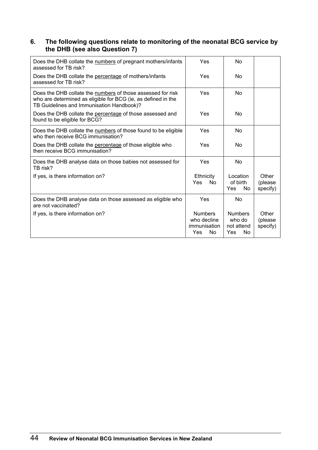#### **6. The following questions relate to monitoring of the neonatal BCG service by the DHB (see also Question 7)**

| Does the DHB collate the numbers of pregnant mothers/infants<br>assessed for TB risk?                                                                                     | Yes                                                                      | No                                                          |                              |
|---------------------------------------------------------------------------------------------------------------------------------------------------------------------------|--------------------------------------------------------------------------|-------------------------------------------------------------|------------------------------|
| Does the DHB collate the percentage of mothers/infants<br>assessed for TB risk?                                                                                           | Yes                                                                      | No                                                          |                              |
| Does the DHB collate the numbers of those assessed for risk<br>who are determined as eligible for BCG (ie, as defined in the<br>TB Guidelines and Immunisation Handbook)? | Yes                                                                      | No                                                          |                              |
| Does the DHB collate the percentage of those assessed and<br>found to be eligible for BCG?                                                                                | Yes                                                                      | No                                                          |                              |
| Does the DHB collate the numbers of those found to be eligible<br>who then receive BCG immunisation?                                                                      | Yes                                                                      | Nο                                                          |                              |
| Does the DHB collate the percentage of those eligible who<br>then receive BCG immunisation?                                                                               | Yes                                                                      | No                                                          |                              |
| Does the DHB analyse data on those babies not assessed for<br>TB risk?                                                                                                    | Yes                                                                      | No                                                          |                              |
| If yes, is there information on?                                                                                                                                          | <b>Ethnicity</b><br>Yes<br>No.                                           | Location<br>of birth<br>Yes<br>No.                          | Other<br>(please<br>specify) |
| Does the DHB analyse data on those assessed as eligible who<br>are not vaccinated?                                                                                        | Yes                                                                      | No                                                          |                              |
| If yes, is there information on?                                                                                                                                          | <b>Numbers</b><br>who decline<br>immunisation<br><b>No</b><br><b>Yes</b> | <b>Numbers</b><br>who do<br>not attend<br><b>No</b><br>Yes. | Other<br>(please<br>specify) |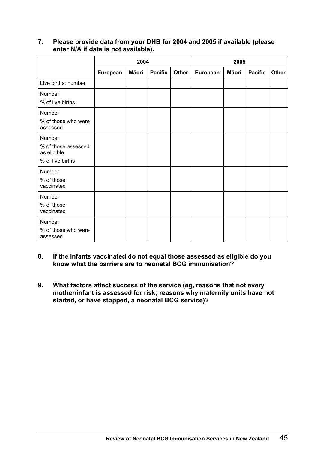## **7. Please provide data from your DHB for 2004 and 2005 if available (please enter N/A if data is not available).**

|                                    | 2004     |              |                | 2005  |          |       |                |              |
|------------------------------------|----------|--------------|----------------|-------|----------|-------|----------------|--------------|
|                                    | European | <b>Māori</b> | <b>Pacific</b> | Other | European | Māori | <b>Pacific</b> | <b>Other</b> |
| Live births: number                |          |              |                |       |          |       |                |              |
| Number                             |          |              |                |       |          |       |                |              |
| % of live births                   |          |              |                |       |          |       |                |              |
| Number                             |          |              |                |       |          |       |                |              |
| % of those who were<br>assessed    |          |              |                |       |          |       |                |              |
| Number                             |          |              |                |       |          |       |                |              |
| % of those assessed<br>as eligible |          |              |                |       |          |       |                |              |
| % of live births                   |          |              |                |       |          |       |                |              |
| Number                             |          |              |                |       |          |       |                |              |
| % of those<br>vaccinated           |          |              |                |       |          |       |                |              |
| Number                             |          |              |                |       |          |       |                |              |
| % of those<br>vaccinated           |          |              |                |       |          |       |                |              |
| Number                             |          |              |                |       |          |       |                |              |
| % of those who were<br>assessed    |          |              |                |       |          |       |                |              |

## **8. If the infants vaccinated do not equal those assessed as eligible do you know what the barriers are to neonatal BCG immunisation?**

**9. What factors affect success of the service (eg, reasons that not every mother/infant is assessed for risk; reasons why maternity units have not started, or have stopped, a neonatal BCG service)?**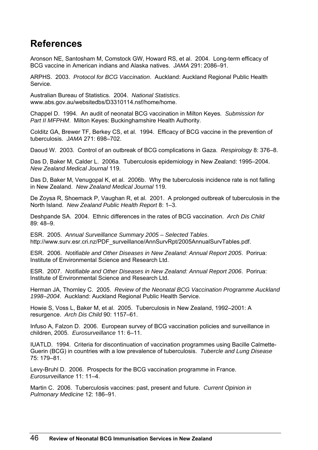# <span id="page-53-0"></span>**References**

Aronson NE, Santosham M, Comstock GW, Howard RS, et al. 2004. Long-term efficacy of BCG vaccine in American indians and Alaska natives. *JAMA* 291: 2086–91.

ARPHS. 2003. *Protocol for BCG Vaccination*. Auckland: Auckland Regional Public Health Service.

Australian Bureau of Statistics. 2004. *National Statistics*. [www.abs.gov.au/websitedbs/D3310114.nsf/home/home](http://www.abs.gov.au/websitedbs/D3310114.nsf/home/home).

Chappel D. 1994. An audit of neonatal BCG vaccination in Milton Keyes*. Submission for Part II MFPHM*. Milton Keyes: Buckinghamshire Health Authority.

Colditz GA, Brewer TF, Berkey CS, et al. 1994. Efficacy of BCG vaccine in the prevention of tuberculosis. *JAMA* 271: 698–702.

Daoud W. 2003. Control of an outbreak of BCG complications in Gaza. *Respirology* 8: 376–8.

Das D, Baker M, Calder L. 2006a. Tuberculosis epidemiology in New Zealand: 1995–2004. *New Zealand Medical Journal* 119.

Das D, Baker M, Venugopal K, et al. 2006b. Why the tuberculosis incidence rate is not falling in New Zealand. *New Zealand Medical Journal* 119.

De Zoysa R, Shoemack P, Vaughan R, et al. 2001. A prolonged outbreak of tuberculosis in the North Island. *New Zealand Public Health Report* 8: 1–3.

Deshpande SA. 2004. Ethnic differences in the rates of BCG vaccination. *Arch Dis Child* 89: 48–9.

ESR. 2005. *Annual Surveillance Summary 2005 – Selected Tables*. [http://www.surv.esr.cri.nz/PDF\\_surveillance/AnnSurvRpt/2005AnnualSurvTables.pdf.](http://www.surv.esr.cri.nz/PDF_surveillance/AnnSurvRpt/2005AnnualSurvTables.pdf)

ESR. 2006. *Notifiable and Other Diseases in New Zealand: Annual Report 2005*. Porirua: Institute of Environmental Science and Research Ltd.

ESR. 2007. *Notifiable and Other Diseases in New Zealand: Annual Report 2006*. Porirua: Institute of Environmental Science and Research Ltd.

Herman JA, Thornley C. 2005. *Review of the Neonatal BCG Vaccination Programme Auckland 1998–2004*. Auckland: Auckland Regional Public Health Service.

Howie S, Voss L, Baker M, et al. 2005. Tuberculosis in New Zealand, 1992–2001: A resurgence. *Arch Dis Child* 90: 1157–61.

Infuso A, Falzon D. 2006. European survey of BCG vaccination policies and surveillance in children, 2005. *Eurosurveillance* 11: 6–11.

IUATLD. 1994. Criteria for discontinuation of vaccination programmes using Bacille Calmette-Guerin (BCG) in countries with a low prevalence of tuberculosis. *Tubercle and Lung Disease* 75: 179–81.

Levy-Bruhl D. 2006. Prospects for the BCG vaccination programme in France. *Eurosurveillance* 11: 11–4.

Martin C. 2006. Tuberculosis vaccines: past, present and future. *Current Opinion in Pulmonary Medicine* 12: 186–91.